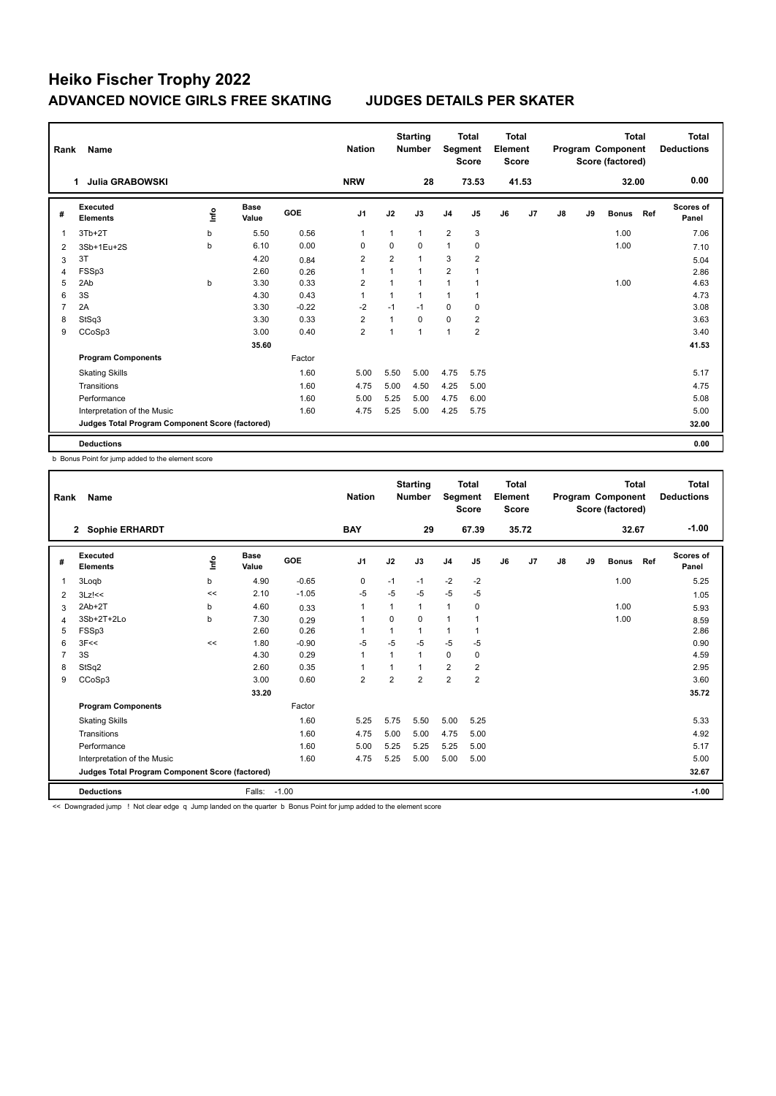| Rank           | Name                                            |      |                      |            | <b>Nation</b>  |                | <b>Starting</b><br><b>Number</b> | Segment        | <b>Total</b><br><b>Score</b> | Total<br>Element<br><b>Score</b> |       |    |    | <b>Total</b><br>Program Component<br>Score (factored) |     | Total<br><b>Deductions</b> |
|----------------|-------------------------------------------------|------|----------------------|------------|----------------|----------------|----------------------------------|----------------|------------------------------|----------------------------------|-------|----|----|-------------------------------------------------------|-----|----------------------------|
|                | <b>Julia GRABOWSKI</b><br>1.                    |      |                      |            | <b>NRW</b>     |                | 28                               |                | 73.53                        |                                  | 41.53 |    |    | 32.00                                                 |     | 0.00                       |
| #              | Executed<br><b>Elements</b>                     | ١nf٥ | <b>Base</b><br>Value | <b>GOE</b> | J <sub>1</sub> | J2             | J3                               | J <sub>4</sub> | J5                           | J6                               | J7    | J8 | J9 | <b>Bonus</b>                                          | Ref | Scores of<br>Panel         |
| 1              | $3Tb+2T$                                        | b    | 5.50                 | 0.56       | $\overline{1}$ |                | $\mathbf{1}$                     | $\overline{2}$ | 3                            |                                  |       |    |    | 1.00                                                  |     | 7.06                       |
| 2              | 3Sb+1Eu+2S                                      | b    | 6.10                 | 0.00       | 0              | $\mathbf 0$    | $\Omega$                         | $\mathbf{1}$   | $\mathbf 0$                  |                                  |       |    |    | 1.00                                                  |     | 7.10                       |
| 3              | 3T                                              |      | 4.20                 | 0.84       | $\overline{2}$ | $\overline{2}$ | $\mathbf{1}$                     | 3              | $\overline{2}$               |                                  |       |    |    |                                                       |     | 5.04                       |
| $\overline{4}$ | FSSp3                                           |      | 2.60                 | 0.26       | $\overline{1}$ | 1              | $\mathbf{1}$                     | $\overline{2}$ | 1                            |                                  |       |    |    |                                                       |     | 2.86                       |
| 5              | 2Ab                                             | b    | 3.30                 | 0.33       | $\overline{2}$ |                | $\mathbf{1}$                     | $\mathbf{1}$   | 1                            |                                  |       |    |    | 1.00                                                  |     | 4.63                       |
| 6              | 3S                                              |      | 4.30                 | 0.43       | 1              |                | $\mathbf{1}$                     | $\mathbf{1}$   |                              |                                  |       |    |    |                                                       |     | 4.73                       |
| 7              | 2A                                              |      | 3.30                 | $-0.22$    | $-2$           | $-1$           | $-1$                             | 0              | 0                            |                                  |       |    |    |                                                       |     | 3.08                       |
| 8              | StSq3                                           |      | 3.30                 | 0.33       | $\overline{2}$ | 1              | 0                                | $\mathbf 0$    | $\overline{2}$               |                                  |       |    |    |                                                       |     | 3.63                       |
| 9              | CCoSp3                                          |      | 3.00                 | 0.40       | $\overline{2}$ | 1              | $\mathbf{1}$                     | 1              | $\overline{2}$               |                                  |       |    |    |                                                       |     | 3.40                       |
|                |                                                 |      | 35.60                |            |                |                |                                  |                |                              |                                  |       |    |    |                                                       |     | 41.53                      |
|                | <b>Program Components</b>                       |      |                      | Factor     |                |                |                                  |                |                              |                                  |       |    |    |                                                       |     |                            |
|                | <b>Skating Skills</b>                           |      |                      | 1.60       | 5.00           | 5.50           | 5.00                             | 4.75           | 5.75                         |                                  |       |    |    |                                                       |     | 5.17                       |
|                | Transitions                                     |      |                      | 1.60       | 4.75           | 5.00           | 4.50                             | 4.25           | 5.00                         |                                  |       |    |    |                                                       |     | 4.75                       |
|                | Performance                                     |      |                      | 1.60       | 5.00           | 5.25           | 5.00                             | 4.75           | 6.00                         |                                  |       |    |    |                                                       |     | 5.08                       |
|                | Interpretation of the Music                     |      |                      | 1.60       | 4.75           | 5.25           | 5.00                             | 4.25           | 5.75                         |                                  |       |    |    |                                                       |     | 5.00                       |
|                | Judges Total Program Component Score (factored) |      |                      |            |                |                |                                  |                |                              |                                  |       |    |    |                                                       |     | 32.00                      |
|                | <b>Deductions</b>                               |      |                      |            |                |                |                                  |                |                              |                                  |       |    |    |                                                       |     | 0.00                       |

b Bonus Point for jump added to the element score

| Rank         | Name                                            |    |                      |         | <b>Nation</b>  |                | <b>Starting</b><br><b>Number</b> | Segment        | <b>Total</b><br><b>Score</b> | <b>Total</b><br>Element<br><b>Score</b> |       |               |    | <b>Total</b><br>Program Component<br>Score (factored) |     | <b>Total</b><br><b>Deductions</b> |
|--------------|-------------------------------------------------|----|----------------------|---------|----------------|----------------|----------------------------------|----------------|------------------------------|-----------------------------------------|-------|---------------|----|-------------------------------------------------------|-----|-----------------------------------|
|              | 2 Sophie ERHARDT                                |    |                      |         | <b>BAY</b>     |                | 29                               |                | 67.39                        |                                         | 35.72 |               |    | 32.67                                                 |     | $-1.00$                           |
| #            | Executed<br><b>Elements</b>                     | ١m | <b>Base</b><br>Value | GOE     | J <sub>1</sub> | J2             | J3                               | J <sub>4</sub> | J5                           | J6                                      | J7    | $\mathsf{J}8$ | J9 | <b>Bonus</b>                                          | Ref | <b>Scores of</b><br>Panel         |
| $\mathbf{1}$ | 3Logb                                           | b  | 4.90                 | $-0.65$ | $\mathbf 0$    | $-1$           | $-1$                             | $-2$           | $-2$                         |                                         |       |               |    | 1.00                                                  |     | 5.25                              |
| 2            | $3Lz$ !<<                                       | << | 2.10                 | $-1.05$ | $-5$           | $-5$           | $-5$                             | $-5$           | $-5$                         |                                         |       |               |    |                                                       |     | 1.05                              |
| 3            | $2Ab+2T$                                        | b  | 4.60                 | 0.33    | 1              |                | 1                                | $\mathbf{1}$   | 0                            |                                         |       |               |    | 1.00                                                  |     | 5.93                              |
| 4            | 3Sb+2T+2Lo                                      | b  | 7.30                 | 0.29    | 1              | $\Omega$       | $\Omega$                         | $\overline{1}$ |                              |                                         |       |               |    | 1.00                                                  |     | 8.59                              |
| 5            | FSSp3                                           |    | 2.60                 | 0.26    | 1              |                | 1                                | $\mathbf{1}$   |                              |                                         |       |               |    |                                                       |     | 2.86                              |
| 6            | 3F<<                                            | << | 1.80                 | $-0.90$ | -5             | $-5$           | $-5$                             | $-5$           | -5                           |                                         |       |               |    |                                                       |     | 0.90                              |
| 7            | 3S                                              |    | 4.30                 | 0.29    | $\mathbf{1}$   |                | $\mathbf{1}$                     | $\Omega$       | 0                            |                                         |       |               |    |                                                       |     | 4.59                              |
| 8            | StSq2                                           |    | 2.60                 | 0.35    |                |                | $\mathbf{1}$                     | $\overline{2}$ | $\overline{2}$               |                                         |       |               |    |                                                       |     | 2.95                              |
| 9            | CCoSp3                                          |    | 3.00                 | 0.60    | $\overline{2}$ | $\overline{2}$ | $\overline{2}$                   | $\overline{2}$ | $\overline{2}$               |                                         |       |               |    |                                                       |     | 3.60                              |
|              |                                                 |    | 33.20                |         |                |                |                                  |                |                              |                                         |       |               |    |                                                       |     | 35.72                             |
|              | <b>Program Components</b>                       |    |                      | Factor  |                |                |                                  |                |                              |                                         |       |               |    |                                                       |     |                                   |
|              | <b>Skating Skills</b>                           |    |                      | 1.60    | 5.25           | 5.75           | 5.50                             | 5.00           | 5.25                         |                                         |       |               |    |                                                       |     | 5.33                              |
|              | Transitions                                     |    |                      | 1.60    | 4.75           | 5.00           | 5.00                             | 4.75           | 5.00                         |                                         |       |               |    |                                                       |     | 4.92                              |
|              | Performance                                     |    |                      | 1.60    | 5.00           | 5.25           | 5.25                             | 5.25           | 5.00                         |                                         |       |               |    |                                                       |     | 5.17                              |
|              | Interpretation of the Music                     |    |                      | 1.60    | 4.75           | 5.25           | 5.00                             | 5.00           | 5.00                         |                                         |       |               |    |                                                       |     | 5.00                              |
|              | Judges Total Program Component Score (factored) |    |                      |         |                |                |                                  |                |                              |                                         |       |               |    |                                                       |     | 32.67                             |
|              | <b>Deductions</b>                               |    | Falls:               | $-1.00$ |                |                |                                  |                |                              |                                         |       |               |    |                                                       |     | $-1.00$                           |

<< Downgraded jump ! Not clear edge q Jump landed on the quarter b Bonus Point for jump added to the element score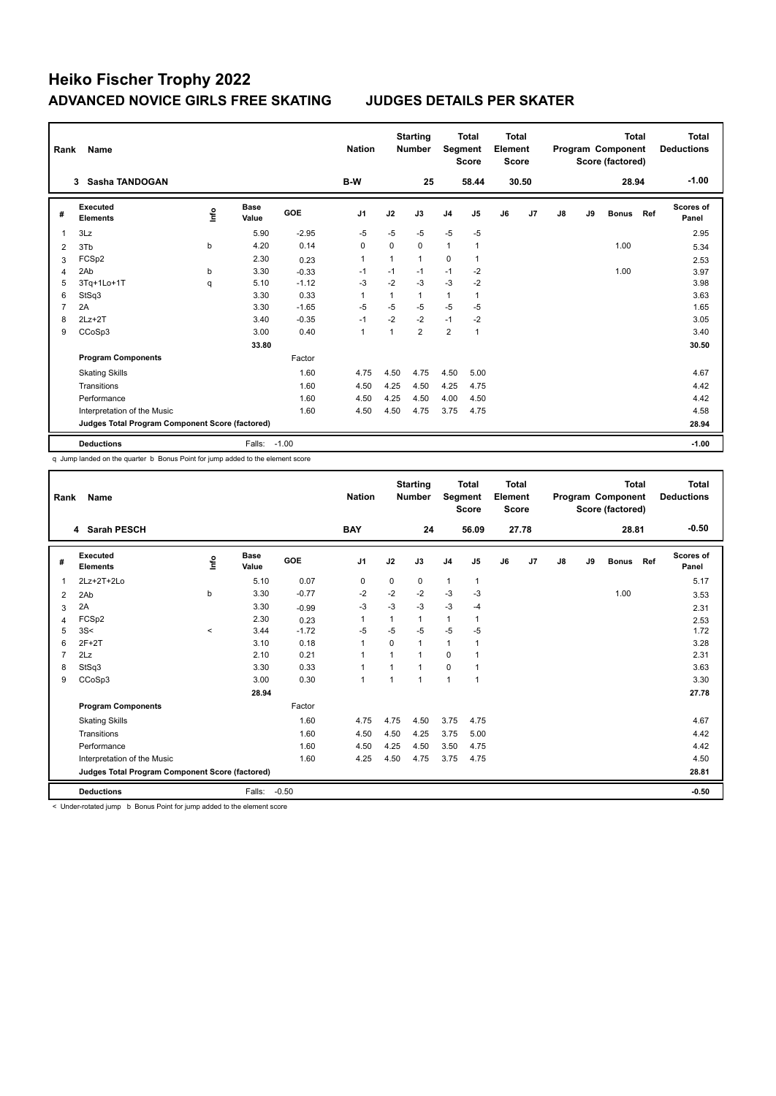| Rank           | Name                                            |      |                      |            | <b>Nation</b>  |                | <b>Starting</b><br><b>Number</b> | Segment        | <b>Total</b><br><b>Score</b> | <b>Total</b><br>Element<br><b>Score</b> |       |               |    | <b>Total</b><br>Program Component<br>Score (factored) |     | <b>Total</b><br><b>Deductions</b> |
|----------------|-------------------------------------------------|------|----------------------|------------|----------------|----------------|----------------------------------|----------------|------------------------------|-----------------------------------------|-------|---------------|----|-------------------------------------------------------|-----|-----------------------------------|
|                | Sasha TANDOGAN<br>3                             |      |                      |            | B-W            |                | 25                               |                | 58.44                        |                                         | 30.50 |               |    | 28.94                                                 |     | $-1.00$                           |
| #              | Executed<br><b>Elements</b>                     | ١nf٥ | <b>Base</b><br>Value | <b>GOE</b> | J1             | J2             | J3                               | J <sub>4</sub> | J5                           | J6                                      | J7    | $\mathsf{J}8$ | J9 | <b>Bonus</b>                                          | Ref | Scores of<br>Panel                |
| 1              | 3Lz                                             |      | 5.90                 | $-2.95$    | $-5$           | $-5$           | $-5$                             | $-5$           | $-5$                         |                                         |       |               |    |                                                       |     | 2.95                              |
| 2              | 3T <sub>b</sub>                                 | b    | 4.20                 | 0.14       | $\mathbf 0$    | $\Omega$       | 0                                | $\mathbf{1}$   | 1                            |                                         |       |               |    | 1.00                                                  |     | 5.34                              |
| 3              | FCSp2                                           |      | 2.30                 | 0.23       | $\overline{1}$ | $\mathbf{1}$   | 1                                | $\Omega$       | 1                            |                                         |       |               |    |                                                       |     | 2.53                              |
| 4              | 2Ab                                             | b    | 3.30                 | $-0.33$    | -1             | $-1$           | $-1$                             | $-1$           | $-2$                         |                                         |       |               |    | 1.00                                                  |     | 3.97                              |
| 5              | 3Tq+1Lo+1T                                      | q    | 5.10                 | $-1.12$    | -3             | $-2$           | $-3$                             | $-3$           | $-2$                         |                                         |       |               |    |                                                       |     | 3.98                              |
| 6              | StSq3                                           |      | 3.30                 | 0.33       | $\overline{1}$ | 1              | 1                                | $\mathbf{1}$   | $\mathbf{1}$                 |                                         |       |               |    |                                                       |     | 3.63                              |
| $\overline{7}$ | 2A                                              |      | 3.30                 | $-1.65$    | $-5$           | $-5$           | $-5$                             | $-5$           | $-5$                         |                                         |       |               |    |                                                       |     | 1.65                              |
| 8              | $2Lz+2T$                                        |      | 3.40                 | $-0.35$    | $-1$           | $-2$           | $-2$                             | $-1$           | $-2$                         |                                         |       |               |    |                                                       |     | 3.05                              |
| 9              | CCoSp3                                          |      | 3.00                 | 0.40       | $\overline{1}$ | $\overline{1}$ | $\overline{2}$                   | $\overline{2}$ | $\overline{1}$               |                                         |       |               |    |                                                       |     | 3.40                              |
|                |                                                 |      | 33.80                |            |                |                |                                  |                |                              |                                         |       |               |    |                                                       |     | 30.50                             |
|                | <b>Program Components</b>                       |      |                      | Factor     |                |                |                                  |                |                              |                                         |       |               |    |                                                       |     |                                   |
|                | <b>Skating Skills</b>                           |      |                      | 1.60       | 4.75           | 4.50           | 4.75                             | 4.50           | 5.00                         |                                         |       |               |    |                                                       |     | 4.67                              |
|                | Transitions                                     |      |                      | 1.60       | 4.50           | 4.25           | 4.50                             | 4.25           | 4.75                         |                                         |       |               |    |                                                       |     | 4.42                              |
|                | Performance                                     |      |                      | 1.60       | 4.50           | 4.25           | 4.50                             | 4.00           | 4.50                         |                                         |       |               |    |                                                       |     | 4.42                              |
|                | Interpretation of the Music                     |      |                      | 1.60       | 4.50           | 4.50           | 4.75                             | 3.75           | 4.75                         |                                         |       |               |    |                                                       |     | 4.58                              |
|                | Judges Total Program Component Score (factored) |      |                      |            |                |                |                                  |                |                              |                                         |       |               |    |                                                       |     | 28.94                             |
|                | <b>Deductions</b>                               |      | Falls:               | $-1.00$    |                |                |                                  |                |                              |                                         |       |               |    |                                                       |     | $-1.00$                           |

q Jump landed on the quarter b Bonus Point for jump added to the element score

| Rank | Name                                            |          |                      |         | <b>Nation</b>  |          | <b>Starting</b><br><b>Number</b> | Segment        | <b>Total</b><br><b>Score</b> | Total<br>Element<br><b>Score</b> |       |    |    | <b>Total</b><br>Program Component<br>Score (factored) |     | <b>Total</b><br><b>Deductions</b> |
|------|-------------------------------------------------|----------|----------------------|---------|----------------|----------|----------------------------------|----------------|------------------------------|----------------------------------|-------|----|----|-------------------------------------------------------|-----|-----------------------------------|
|      | 4 Sarah PESCH                                   |          |                      |         | <b>BAY</b>     |          | 24                               |                | 56.09                        |                                  | 27.78 |    |    | 28.81                                                 |     | $-0.50$                           |
| #    | Executed<br><b>Elements</b>                     | lnfo     | <b>Base</b><br>Value | GOE     | J <sub>1</sub> | J2       | J3                               | J <sub>4</sub> | J5                           | J6                               | J7    | J8 | J9 | <b>Bonus</b>                                          | Ref | <b>Scores of</b><br>Panel         |
| 1    | 2Lz+2T+2Lo                                      |          | 5.10                 | 0.07    | 0              | 0        | 0                                | $\mathbf{1}$   | $\mathbf{1}$                 |                                  |       |    |    |                                                       |     | 5.17                              |
| 2    | 2Ab                                             | b        | 3.30                 | $-0.77$ | $-2$           | $-2$     | $-2$                             | $-3$           | $-3$                         |                                  |       |    |    | 1.00                                                  |     | 3.53                              |
| 3    | 2A                                              |          | 3.30                 | $-0.99$ | $-3$           | $-3$     | $-3$                             | $-3$           | $-4$                         |                                  |       |    |    |                                                       |     | 2.31                              |
| 4    | FCSp2                                           |          | 2.30                 | 0.23    | $\mathbf{1}$   | 1        | 1                                | $\mathbf{1}$   |                              |                                  |       |    |    |                                                       |     | 2.53                              |
| 5    | 3S<                                             | $\hat{}$ | 3.44                 | $-1.72$ | $-5$           | $-5$     | $-5$                             | $-5$           | $-5$                         |                                  |       |    |    |                                                       |     | 1.72                              |
| 6    | $2F+2T$                                         |          | 3.10                 | 0.18    | $\mathbf{1}$   | $\Omega$ | 1                                | $\mathbf{1}$   | 1                            |                                  |       |    |    |                                                       |     | 3.28                              |
| 7    | 2Lz                                             |          | 2.10                 | 0.21    | $\mathbf{1}$   | 1        | $\overline{1}$                   | $\Omega$       |                              |                                  |       |    |    |                                                       |     | 2.31                              |
| 8    | StSq3                                           |          | 3.30                 | 0.33    | $\mathbf{1}$   |          | $\overline{1}$                   | $\mathbf 0$    |                              |                                  |       |    |    |                                                       |     | 3.63                              |
| 9    | CCoSp3                                          |          | 3.00                 | 0.30    | $\mathbf{1}$   | 1        | 1                                | $\overline{1}$ | 1                            |                                  |       |    |    |                                                       |     | 3.30                              |
|      |                                                 |          | 28.94                |         |                |          |                                  |                |                              |                                  |       |    |    |                                                       |     | 27.78                             |
|      | <b>Program Components</b>                       |          |                      | Factor  |                |          |                                  |                |                              |                                  |       |    |    |                                                       |     |                                   |
|      | <b>Skating Skills</b>                           |          |                      | 1.60    | 4.75           | 4.75     | 4.50                             | 3.75           | 4.75                         |                                  |       |    |    |                                                       |     | 4.67                              |
|      | Transitions                                     |          |                      | 1.60    | 4.50           | 4.50     | 4.25                             | 3.75           | 5.00                         |                                  |       |    |    |                                                       |     | 4.42                              |
|      | Performance                                     |          |                      | 1.60    | 4.50           | 4.25     | 4.50                             | 3.50           | 4.75                         |                                  |       |    |    |                                                       |     | 4.42                              |
|      | Interpretation of the Music                     |          |                      | 1.60    | 4.25           | 4.50     | 4.75                             | 3.75           | 4.75                         |                                  |       |    |    |                                                       |     | 4.50                              |
|      | Judges Total Program Component Score (factored) |          |                      |         |                |          |                                  |                |                              |                                  |       |    |    |                                                       |     | 28.81                             |
|      | <b>Deductions</b>                               |          | Falls:               | $-0.50$ |                |          |                                  |                |                              |                                  |       |    |    |                                                       |     | $-0.50$                           |

< Under-rotated jump b Bonus Point for jump added to the element score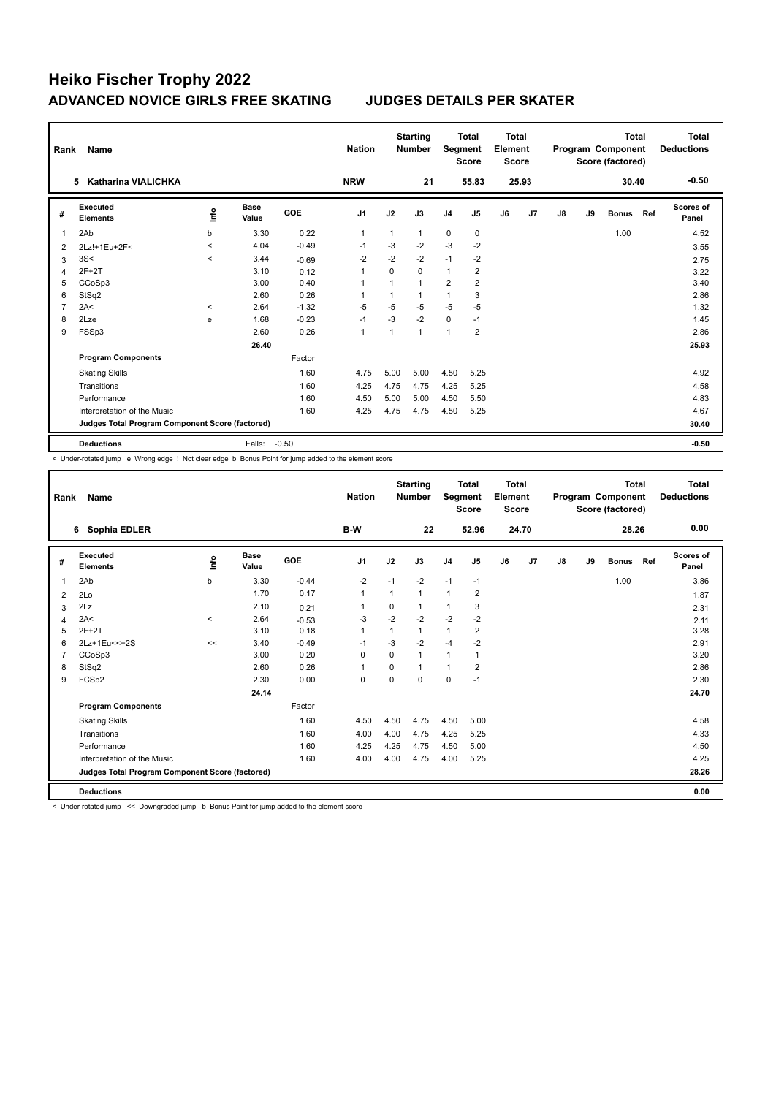| Rank           | Name                                            |         |                      |            | <b>Nation</b>  |      | <b>Starting</b><br><b>Number</b> | Segment        | <b>Total</b><br><b>Score</b> | Total<br>Element<br><b>Score</b> |       |    |    | <b>Total</b><br>Program Component<br>Score (factored) |     | Total<br><b>Deductions</b> |
|----------------|-------------------------------------------------|---------|----------------------|------------|----------------|------|----------------------------------|----------------|------------------------------|----------------------------------|-------|----|----|-------------------------------------------------------|-----|----------------------------|
|                | <b>Katharina VIALICHKA</b><br>5                 |         |                      |            | <b>NRW</b>     |      | 21                               |                | 55.83                        |                                  | 25.93 |    |    | 30.40                                                 |     | $-0.50$                    |
| #              | Executed<br><b>Elements</b>                     | lnfo    | <b>Base</b><br>Value | <b>GOE</b> | J <sub>1</sub> | J2   | J3                               | J <sub>4</sub> | J5                           | J6                               | J7    | J8 | J9 | <b>Bonus</b>                                          | Ref | <b>Scores of</b><br>Panel  |
| 1              | 2Ab                                             | b       | 3.30                 | 0.22       | $\mathbf{1}$   | 1    | 1                                | $\mathbf 0$    | 0                            |                                  |       |    |    | 1.00                                                  |     | 4.52                       |
| 2              | 2Lz!+1Eu+2F<                                    | $\prec$ | 4.04                 | $-0.49$    | -1             | $-3$ | $-2$                             | $-3$           | $-2$                         |                                  |       |    |    |                                                       |     | 3.55                       |
| 3              | 3S<                                             | $\prec$ | 3.44                 | $-0.69$    | $-2$           | $-2$ | $-2$                             | $-1$           | $-2$                         |                                  |       |    |    |                                                       |     | 2.75                       |
| 4              | $2F+2T$                                         |         | 3.10                 | 0.12       | 1              | 0    | $\Omega$                         | $\mathbf{1}$   | 2                            |                                  |       |    |    |                                                       |     | 3.22                       |
| 5              | CCoSp3                                          |         | 3.00                 | 0.40       | 1              |      | $\mathbf{1}$                     | $\overline{2}$ | $\overline{2}$               |                                  |       |    |    |                                                       |     | 3.40                       |
| 6              | StSq2                                           |         | 2.60                 | 0.26       | 1              |      | $\mathbf{1}$                     | $\mathbf{1}$   | 3                            |                                  |       |    |    |                                                       |     | 2.86                       |
| $\overline{7}$ | 2A<                                             | $\prec$ | 2.64                 | $-1.32$    | $-5$           | $-5$ | $-5$                             | $-5$           | $-5$                         |                                  |       |    |    |                                                       |     | 1.32                       |
| 8              | 2Lze                                            | e       | 1.68                 | $-0.23$    | $-1$           | $-3$ | $-2$                             | $\mathbf 0$    | $-1$                         |                                  |       |    |    |                                                       |     | 1.45                       |
| 9              | FSSp3                                           |         | 2.60                 | 0.26       | $\overline{1}$ |      | $\mathbf{1}$                     | $\mathbf{1}$   | $\overline{2}$               |                                  |       |    |    |                                                       |     | 2.86                       |
|                |                                                 |         | 26.40                |            |                |      |                                  |                |                              |                                  |       |    |    |                                                       |     | 25.93                      |
|                | <b>Program Components</b>                       |         |                      | Factor     |                |      |                                  |                |                              |                                  |       |    |    |                                                       |     |                            |
|                | <b>Skating Skills</b>                           |         |                      | 1.60       | 4.75           | 5.00 | 5.00                             | 4.50           | 5.25                         |                                  |       |    |    |                                                       |     | 4.92                       |
|                | Transitions                                     |         |                      | 1.60       | 4.25           | 4.75 | 4.75                             | 4.25           | 5.25                         |                                  |       |    |    |                                                       |     | 4.58                       |
|                | Performance                                     |         |                      | 1.60       | 4.50           | 5.00 | 5.00                             | 4.50           | 5.50                         |                                  |       |    |    |                                                       |     | 4.83                       |
|                | Interpretation of the Music                     |         |                      | 1.60       | 4.25           | 4.75 | 4.75                             | 4.50           | 5.25                         |                                  |       |    |    |                                                       |     | 4.67                       |
|                | Judges Total Program Component Score (factored) |         |                      |            |                |      |                                  |                |                              |                                  |       |    |    |                                                       |     | 30.40                      |
|                | <b>Deductions</b>                               |         | Falls:               | $-0.50$    |                |      |                                  |                |                              |                                  |       |    |    |                                                       |     | $-0.50$                    |

< Under-rotated jump e Wrong edge ! Not clear edge b Bonus Point for jump added to the element score

| Rank         | Name                                            |         |                      |         | <b>Nation</b>  |          | <b>Starting</b><br><b>Number</b> | Segment        | <b>Total</b><br><b>Score</b> | Total<br>Element<br><b>Score</b> |       |    |    | <b>Total</b><br>Program Component<br>Score (factored) |     | Total<br><b>Deductions</b> |
|--------------|-------------------------------------------------|---------|----------------------|---------|----------------|----------|----------------------------------|----------------|------------------------------|----------------------------------|-------|----|----|-------------------------------------------------------|-----|----------------------------|
|              | Sophia EDLER<br>6                               |         |                      |         | B-W            |          | 22                               |                | 52.96                        |                                  | 24.70 |    |    | 28.26                                                 |     | 0.00                       |
| #            | Executed<br><b>Elements</b>                     | ١nf٥    | <b>Base</b><br>Value | GOE     | J <sub>1</sub> | J2       | J3                               | J <sub>4</sub> | J <sub>5</sub>               | J6                               | J7    | J8 | J9 | <b>Bonus</b>                                          | Ref | Scores of<br>Panel         |
| $\mathbf{1}$ | 2Ab                                             | b       | 3.30                 | $-0.44$ | $-2$           | $-1$     | $-2$                             | $-1$           | $-1$                         |                                  |       |    |    | 1.00                                                  |     | 3.86                       |
| 2            | 2Lo                                             |         | 1.70                 | 0.17    | 1              | 1        | 1                                | $\mathbf{1}$   | $\overline{2}$               |                                  |       |    |    |                                                       |     | 1.87                       |
| 3            | 2Lz                                             |         | 2.10                 | 0.21    | 1              | 0        |                                  | 1              | 3                            |                                  |       |    |    |                                                       |     | 2.31                       |
| 4            | 2A<                                             | $\prec$ | 2.64                 | $-0.53$ | -3             | $-2$     | $-2$                             | $-2$           | $-2$                         |                                  |       |    |    |                                                       |     | 2.11                       |
| 5            | $2F+2T$                                         |         | 3.10                 | 0.18    | 1              | 1        | 1                                | 1              | $\overline{2}$               |                                  |       |    |    |                                                       |     | 3.28                       |
| 6            | 2Lz+1Eu<<+2S                                    | <<      | 3.40                 | $-0.49$ | $-1$           | $-3$     | $-2$                             | $-4$           | $-2$                         |                                  |       |    |    |                                                       |     | 2.91                       |
|              | CCoSp3                                          |         | 3.00                 | 0.20    | $\Omega$       | $\Omega$ | 1                                | $\mathbf{1}$   | 1                            |                                  |       |    |    |                                                       |     | 3.20                       |
| 8            | StSq2                                           |         | 2.60                 | 0.26    | 1              | $\Omega$ | $\overline{1}$                   | 1              | $\overline{2}$               |                                  |       |    |    |                                                       |     | 2.86                       |
| 9            | FCSp2                                           |         | 2.30                 | 0.00    | $\mathbf 0$    | $\Omega$ | $\Omega$                         | $\mathbf 0$    | $-1$                         |                                  |       |    |    |                                                       |     | 2.30                       |
|              |                                                 |         | 24.14                |         |                |          |                                  |                |                              |                                  |       |    |    |                                                       |     | 24.70                      |
|              | <b>Program Components</b>                       |         |                      | Factor  |                |          |                                  |                |                              |                                  |       |    |    |                                                       |     |                            |
|              | <b>Skating Skills</b>                           |         |                      | 1.60    | 4.50           | 4.50     | 4.75                             | 4.50           | 5.00                         |                                  |       |    |    |                                                       |     | 4.58                       |
|              | Transitions                                     |         |                      | 1.60    | 4.00           | 4.00     | 4.75                             | 4.25           | 5.25                         |                                  |       |    |    |                                                       |     | 4.33                       |
|              | Performance                                     |         |                      | 1.60    | 4.25           | 4.25     | 4.75                             | 4.50           | 5.00                         |                                  |       |    |    |                                                       |     | 4.50                       |
|              | Interpretation of the Music                     |         |                      | 1.60    | 4.00           | 4.00     | 4.75                             | 4.00           | 5.25                         |                                  |       |    |    |                                                       |     | 4.25                       |
|              | Judges Total Program Component Score (factored) |         |                      |         |                |          |                                  |                |                              |                                  |       |    |    |                                                       |     | 28.26                      |
|              | <b>Deductions</b>                               |         |                      |         |                |          |                                  |                |                              |                                  |       |    |    |                                                       |     | 0.00                       |

< Under-rotated jump << Downgraded jump b Bonus Point for jump added to the element score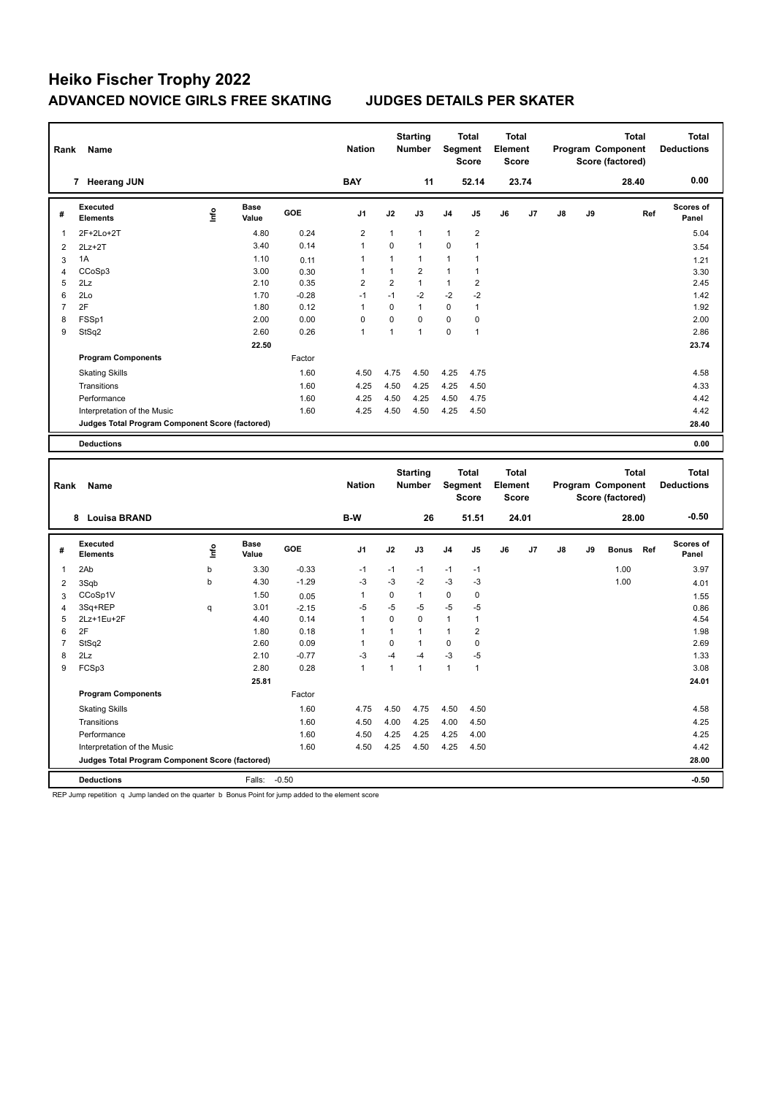| Rank           | Name                                            |             |                      |         | <b>Nation</b>  |                | <b>Starting</b><br><b>Number</b> |              | Total<br>Segment<br><b>Score</b> | <b>Total</b><br>Element<br><b>Score</b> |       |    |    | <b>Total</b><br>Program Component<br>Score (factored) |     | <b>Total</b><br><b>Deductions</b> |
|----------------|-------------------------------------------------|-------------|----------------------|---------|----------------|----------------|----------------------------------|--------------|----------------------------------|-----------------------------------------|-------|----|----|-------------------------------------------------------|-----|-----------------------------------|
|                | 7 Heerang JUN                                   |             |                      |         | <b>BAY</b>     |                | 11                               |              | 52.14                            |                                         | 23.74 |    |    | 28.40                                                 |     | 0.00                              |
| #              | <b>Executed</b><br><b>Elements</b>              | e           | <b>Base</b><br>Value | GOE     | J1             | J2             | J3                               | J4           | J5                               | J6                                      | J7    | J8 | J9 |                                                       | Ref | <b>Scores of</b><br>Panel         |
| $\mathbf{1}$   | 2F+2Lo+2T                                       |             | 4.80                 | 0.24    | $\overline{2}$ | $\mathbf{1}$   | $\mathbf{1}$                     | $\mathbf{1}$ | $\overline{2}$                   |                                         |       |    |    |                                                       |     | 5.04                              |
| $\overline{2}$ | $2Lz+2T$                                        |             | 3.40                 | 0.14    | $\mathbf{1}$   | $\Omega$       | $\mathbf{1}$                     | $\Omega$     | 1                                |                                         |       |    |    |                                                       |     | 3.54                              |
| $\mathbf{3}$   | 1A                                              |             | 1.10                 | 0.11    | 1              | $\mathbf{1}$   | $\mathbf{1}$                     | $\mathbf{1}$ | $\mathbf{1}$                     |                                         |       |    |    |                                                       |     | 1.21                              |
| $\overline{4}$ | CCoSp3                                          |             | 3.00                 | 0.30    | $\mathbf{1}$   | $\mathbf{1}$   | $\overline{2}$                   | $\mathbf{1}$ | $\mathbf{1}$                     |                                         |       |    |    |                                                       |     | 3.30                              |
| 5              | 2Lz                                             |             | 2.10                 | 0.35    | $\overline{2}$ | $\overline{2}$ | $\mathbf{1}$                     | $\mathbf{1}$ | $\overline{2}$                   |                                         |       |    |    |                                                       |     | 2.45                              |
| 6              | 2Lo                                             |             | 1.70                 | $-0.28$ | $-1$           | $-1$           | $-2$                             | $-2$         | $-2$                             |                                         |       |    |    |                                                       |     | 1.42                              |
| $\overline{7}$ | 2F                                              |             | 1.80                 | 0.12    | $\mathbf{1}$   | $\mathbf 0$    | $\mathbf{1}$                     | $\mathbf 0$  | $\mathbf{1}$                     |                                         |       |    |    |                                                       |     | 1.92                              |
| 8              | FSSp1                                           |             | 2.00                 | 0.00    | $\mathbf 0$    | 0              | $\mathbf 0$                      | $\mathbf 0$  | $\pmb{0}$                        |                                         |       |    |    |                                                       |     | 2.00                              |
| 9              | StSq2                                           |             | 2.60                 | 0.26    | $\mathbf{1}$   | $\mathbf{1}$   | $\overline{1}$                   | $\mathbf 0$  | $\mathbf{1}$                     |                                         |       |    |    |                                                       |     | 2.86                              |
|                |                                                 |             | 22.50                |         |                |                |                                  |              |                                  |                                         |       |    |    |                                                       |     | 23.74                             |
|                | <b>Program Components</b>                       |             |                      | Factor  |                |                |                                  |              |                                  |                                         |       |    |    |                                                       |     |                                   |
|                | <b>Skating Skills</b>                           |             |                      | 1.60    | 4.50           | 4.75           | 4.50                             | 4.25         | 4.75                             |                                         |       |    |    |                                                       |     | 4.58                              |
|                | Transitions                                     |             |                      | 1.60    | 4.25           | 4.50           | 4.25                             | 4.25         | 4.50                             |                                         |       |    |    |                                                       |     | 4.33                              |
|                | Performance                                     |             |                      | 1.60    | 4.25           | 4.50           | 4.25                             | 4.50         | 4.75                             |                                         |       |    |    |                                                       |     | 4.42                              |
|                | Interpretation of the Music                     |             |                      | 1.60    | 4.25           | 4.50           | 4.50                             | 4.25         | 4.50                             |                                         |       |    |    |                                                       |     | 4.42                              |
|                | Judges Total Program Component Score (factored) |             |                      |         |                |                |                                  |              |                                  |                                         |       |    |    |                                                       |     | 28.40                             |
|                | <b>Deductions</b>                               |             |                      |         |                |                |                                  |              |                                  |                                         |       |    |    |                                                       |     | 0.00                              |
|                |                                                 |             |                      |         |                |                |                                  |              |                                  |                                         |       |    |    |                                                       |     |                                   |
| Rank           | Name                                            |             |                      |         | <b>Nation</b>  |                | <b>Starting</b><br>Number        | Segment      | <b>Total</b><br><b>Score</b>     | <b>Total</b><br>Element<br><b>Score</b> |       |    |    | <b>Total</b><br>Program Component<br>Score (factored) |     | <b>Total</b><br><b>Deductions</b> |
|                | 8 Louisa BRAND                                  |             |                      |         | B-W            |                | 26                               |              | 51.51                            |                                         | 24.01 |    |    | 28.00                                                 |     | $-0.50$                           |
| #              | <b>Executed</b><br><b>Elements</b>              | ١f          | <b>Base</b><br>Value | GOE     | J <sub>1</sub> | J2             | J3                               | J4           | J5                               | J6                                      | J7    | J8 | J9 | <b>Bonus</b>                                          | Ref | Scores of<br>Panel                |
| $\mathbf{1}$   | 2Ab                                             | $\mathsf b$ | 3.30                 | $-0.33$ | $-1$           | $-1$           | $-1$                             | $-1$         | $-1$                             |                                         |       |    |    | 1.00                                                  |     | 3.97                              |
| $\overline{2}$ | 3Sqb                                            | b           | 4.30                 | $-1.29$ | $-3$           | $-3$           | $-2$                             | $-3$         | $-3$                             |                                         |       |    |    | 1.00                                                  |     | 4.01                              |
| 3              | CCoSp1V                                         |             | 1.50                 | 0.05    | 1              | $\pmb{0}$      | $\mathbf{1}$                     | $\pmb{0}$    | 0                                |                                         |       |    |    |                                                       |     | 1.55                              |
| $\overline{4}$ | 3Sq+REP                                         | q           | 3.01                 | $-2.15$ | $-5$           | $-5$           | $-5$                             | $-5$         | $-5$                             |                                         |       |    |    |                                                       |     | 0.86                              |
| 5              | 2Lz+1Eu+2F                                      |             | 4.40                 | 0.14    | $\mathbf{1}$   | $\pmb{0}$      | $\mathbf 0$                      | $\mathbf{1}$ | $\mathbf{1}$                     |                                         |       |    |    |                                                       |     | 4.54                              |
| 6              | 2F                                              |             | 1.80                 | 0.18    | 1              | $\mathbf{1}$   | $\mathbf{1}$                     | 1            | $\overline{2}$                   |                                         |       |    |    |                                                       |     | 1.98                              |
| $\overline{7}$ | StSq2                                           |             | 2.60                 | 0.09    | $\mathbf{1}$   | $\mathbf 0$    | $\mathbf{1}$                     | 0            | $\pmb{0}$                        |                                         |       |    |    |                                                       |     | 2.69                              |
| 8              | 2Lz                                             |             | 2.10                 | $-0.77$ | $-3$           | $-4$           | -4                               | $-3$         | $-5$                             |                                         |       |    |    |                                                       |     | 1.33                              |
| 9              | FCSp3                                           |             | 2.80                 | 0.28    | $\mathbf{1}$   | $\mathbf{1}$   | $\overline{1}$                   | $\mathbf{1}$ | $\mathbf{1}$                     |                                         |       |    |    |                                                       |     | 3.08                              |
|                |                                                 |             | 25.81                |         |                |                |                                  |              |                                  |                                         |       |    |    |                                                       |     | 24.01                             |
|                | <b>Program Components</b>                       |             |                      | Factor  |                |                |                                  |              |                                  |                                         |       |    |    |                                                       |     |                                   |
|                | <b>Skating Skills</b>                           |             |                      | 1.60    | 4.75           | 4.50           | 4.75                             | 4.50         | 4.50                             |                                         |       |    |    |                                                       |     | 4.58                              |
|                | Transitions                                     |             |                      | 1.60    | 4.50           | 4.00           | 4.25                             | 4.00         | 4.50                             |                                         |       |    |    |                                                       |     | 4.25                              |
|                | Performance                                     |             |                      | 1.60    | 4.50           | 4.25           | 4.25                             | 4.25         | 4.00                             |                                         |       |    |    |                                                       |     | 4.25                              |
|                | Interpretation of the Music                     |             |                      | 1.60    | 4.50           | 4.25           | 4.50                             | 4.25         | 4.50                             |                                         |       |    |    |                                                       |     | 4.42                              |
|                | Judges Total Program Component Score (factored) |             |                      |         |                |                |                                  |              |                                  |                                         |       |    |    |                                                       |     | 28.00                             |

REP Jump repetition q Jump landed on the quarter b Bonus Point for jump added to the element score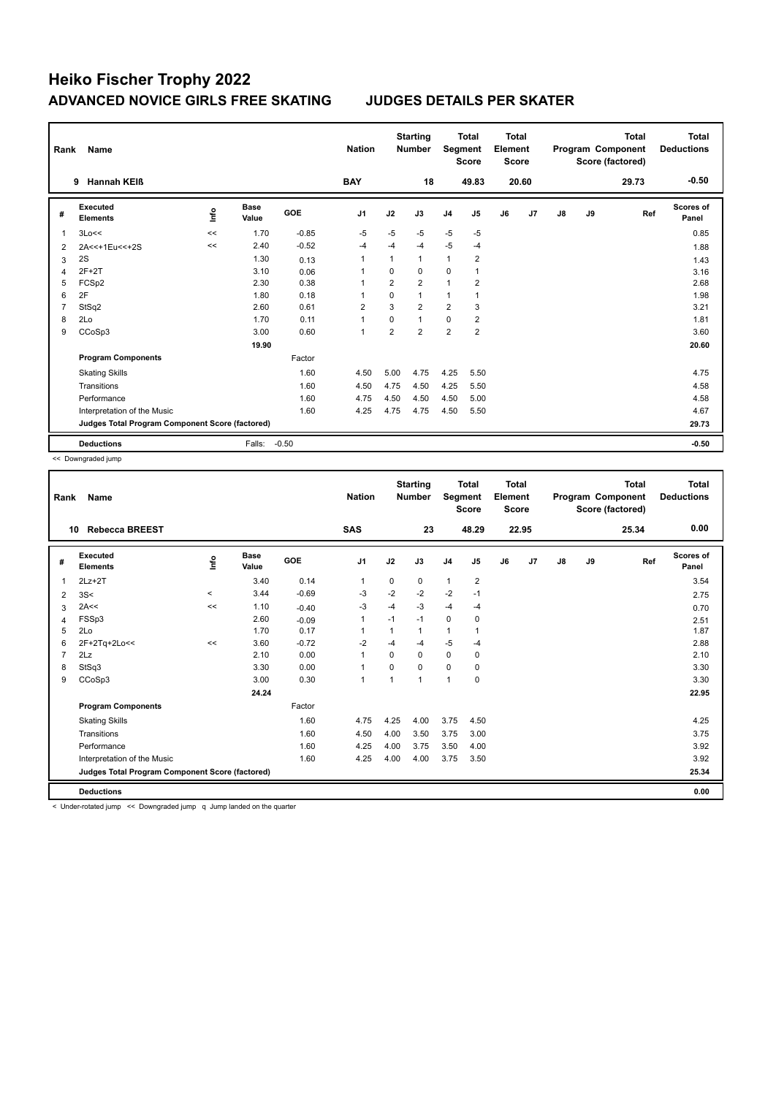| Rank           | Name                                            |      |                      |            | <b>Nation</b>  |                | <b>Starting</b><br><b>Number</b> | Segment        | <b>Total</b><br><b>Score</b> | <b>Total</b><br>Element<br><b>Score</b> |       |    |    | <b>Total</b><br>Program Component<br>Score (factored) | Total<br><b>Deductions</b> |
|----------------|-------------------------------------------------|------|----------------------|------------|----------------|----------------|----------------------------------|----------------|------------------------------|-----------------------------------------|-------|----|----|-------------------------------------------------------|----------------------------|
|                | <b>Hannah KEIß</b><br>9                         |      |                      |            | <b>BAY</b>     |                | 18                               |                | 49.83                        |                                         | 20.60 |    |    | 29.73                                                 | $-0.50$                    |
| #              | <b>Executed</b><br><b>Elements</b>              | ١nf٥ | <b>Base</b><br>Value | <b>GOE</b> | J <sub>1</sub> | J2             | J3                               | J <sub>4</sub> | J <sub>5</sub>               | J6                                      | J7    | J8 | J9 | Ref                                                   | Scores of<br>Panel         |
| 1              | 3Lo<<                                           | <<   | 1.70                 | $-0.85$    | $-5$           | $-5$           | $-5$                             | $-5$           | $-5$                         |                                         |       |    |    |                                                       | 0.85                       |
| $\overline{2}$ | 2A<<+1Eu<<+2S                                   | <<   | 2.40                 | $-0.52$    | $-4$           | $-4$           | $-4$                             | $-5$           | $-4$                         |                                         |       |    |    |                                                       | 1.88                       |
| 3              | 2S                                              |      | 1.30                 | 0.13       | -1             | 1              | $\mathbf{1}$                     | 1              | 2                            |                                         |       |    |    |                                                       | 1.43                       |
| 4              | $2F+2T$                                         |      | 3.10                 | 0.06       | 1              | $\Omega$       | $\Omega$                         | 0              |                              |                                         |       |    |    |                                                       | 3.16                       |
| 5              | FCSp2                                           |      | 2.30                 | 0.38       | -1             | $\overline{2}$ | $\overline{2}$                   | 1              | $\overline{2}$               |                                         |       |    |    |                                                       | 2.68                       |
| 6              | 2F                                              |      | 1.80                 | 0.18       | 1              | $\mathbf 0$    | $\mathbf{1}$                     | 1              |                              |                                         |       |    |    |                                                       | 1.98                       |
| 7              | StSq2                                           |      | 2.60                 | 0.61       | $\overline{2}$ | 3              | $\overline{2}$                   | $\overline{2}$ | 3                            |                                         |       |    |    |                                                       | 3.21                       |
| 8              | 2Lo                                             |      | 1.70                 | 0.11       | 1              | $\mathbf 0$    | $\mathbf{1}$                     | 0              | $\overline{2}$               |                                         |       |    |    |                                                       | 1.81                       |
| 9              | CCoSp3                                          |      | 3.00                 | 0.60       | $\overline{1}$ | $\overline{2}$ | $\overline{2}$                   | $\overline{2}$ | $\overline{2}$               |                                         |       |    |    |                                                       | 3.60                       |
|                |                                                 |      | 19.90                |            |                |                |                                  |                |                              |                                         |       |    |    |                                                       | 20.60                      |
|                | <b>Program Components</b>                       |      |                      | Factor     |                |                |                                  |                |                              |                                         |       |    |    |                                                       |                            |
|                | <b>Skating Skills</b>                           |      |                      | 1.60       | 4.50           | 5.00           | 4.75                             | 4.25           | 5.50                         |                                         |       |    |    |                                                       | 4.75                       |
|                | Transitions                                     |      |                      | 1.60       | 4.50           | 4.75           | 4.50                             | 4.25           | 5.50                         |                                         |       |    |    |                                                       | 4.58                       |
|                | Performance                                     |      |                      | 1.60       | 4.75           | 4.50           | 4.50                             | 4.50           | 5.00                         |                                         |       |    |    |                                                       | 4.58                       |
|                | Interpretation of the Music                     |      |                      | 1.60       | 4.25           | 4.75           | 4.75                             | 4.50           | 5.50                         |                                         |       |    |    |                                                       | 4.67                       |
|                | Judges Total Program Component Score (factored) |      |                      |            |                |                |                                  |                |                              |                                         |       |    |    |                                                       | 29.73                      |
|                | <b>Deductions</b>                               |      | Falls:               | $-0.50$    |                |                |                                  |                |                              |                                         |       |    |    |                                                       | $-0.50$                    |

<< Downgraded jump

| Rank | <b>Name</b>                                     |          |                      |         | <b>Nation</b>  |          | <b>Starting</b><br><b>Number</b> | Segment        | Total<br><b>Score</b> | <b>Total</b><br>Element<br><b>Score</b> |       |    |    | <b>Total</b><br>Program Component<br>Score (factored) | <b>Total</b><br><b>Deductions</b> |
|------|-------------------------------------------------|----------|----------------------|---------|----------------|----------|----------------------------------|----------------|-----------------------|-----------------------------------------|-------|----|----|-------------------------------------------------------|-----------------------------------|
| 10   | <b>Rebecca BREEST</b>                           |          |                      |         | <b>SAS</b>     |          | 23                               |                | 48.29                 |                                         | 22.95 |    |    | 25.34                                                 | 0.00                              |
| #    | Executed<br><b>Elements</b>                     | lnfo     | <b>Base</b><br>Value | GOE     | J <sub>1</sub> | J2       | J3                               | J <sub>4</sub> | J <sub>5</sub>        | J6                                      | J7    | J8 | J9 | Ref                                                   | <b>Scores of</b><br>Panel         |
| 1    | $2Lz+2T$                                        |          | 3.40                 | 0.14    | $\mathbf{1}$   | 0        | 0                                | $\mathbf{1}$   | $\overline{2}$        |                                         |       |    |    |                                                       | 3.54                              |
| 2    | 3S<                                             | $\hat{}$ | 3.44                 | $-0.69$ | -3             | $-2$     | $-2$                             | $-2$           | $-1$                  |                                         |       |    |    |                                                       | 2.75                              |
| 3    | 2A<<                                            | <<       | 1.10                 | $-0.40$ | $-3$           | $-4$     | $-3$                             | $-4$           | $-4$                  |                                         |       |    |    |                                                       | 0.70                              |
| 4    | FSSp3                                           |          | 2.60                 | $-0.09$ | $\mathbf{1}$   | $-1$     | $-1$                             | 0              | 0                     |                                         |       |    |    |                                                       | 2.51                              |
| 5    | 2Lo                                             |          | 1.70                 | 0.17    | $\mathbf{1}$   | 1        | 1                                | $\mathbf{1}$   |                       |                                         |       |    |    |                                                       | 1.87                              |
| 6    | 2F+2Tq+2Lo<<                                    | <<       | 3.60                 | $-0.72$ | $-2$           | $-4$     | $-4$                             | $-5$           | $-4$                  |                                         |       |    |    |                                                       | 2.88                              |
|      | 2Lz                                             |          | 2.10                 | 0.00    | $\overline{1}$ | $\Omega$ | 0                                | $\mathbf 0$    | 0                     |                                         |       |    |    |                                                       | 2.10                              |
| 8    | StSq3                                           |          | 3.30                 | 0.00    | $\mathbf{1}$   | $\Omega$ | $\Omega$                         | $\mathbf 0$    | $\mathbf 0$           |                                         |       |    |    |                                                       | 3.30                              |
| 9    | CCoSp3                                          |          | 3.00                 | 0.30    | $\overline{1}$ | 1        | 1                                | 1              | $\mathbf 0$           |                                         |       |    |    |                                                       | 3.30                              |
|      |                                                 |          | 24.24                |         |                |          |                                  |                |                       |                                         |       |    |    |                                                       | 22.95                             |
|      | <b>Program Components</b>                       |          |                      | Factor  |                |          |                                  |                |                       |                                         |       |    |    |                                                       |                                   |
|      | <b>Skating Skills</b>                           |          |                      | 1.60    | 4.75           | 4.25     | 4.00                             | 3.75           | 4.50                  |                                         |       |    |    |                                                       | 4.25                              |
|      | Transitions                                     |          |                      | 1.60    | 4.50           | 4.00     | 3.50                             | 3.75           | 3.00                  |                                         |       |    |    |                                                       | 3.75                              |
|      | Performance                                     |          |                      | 1.60    | 4.25           | 4.00     | 3.75                             | 3.50           | 4.00                  |                                         |       |    |    |                                                       | 3.92                              |
|      | Interpretation of the Music                     |          |                      | 1.60    | 4.25           | 4.00     | 4.00                             | 3.75           | 3.50                  |                                         |       |    |    |                                                       | 3.92                              |
|      | Judges Total Program Component Score (factored) |          |                      |         |                |          |                                  |                |                       |                                         |       |    |    |                                                       | 25.34                             |
|      | <b>Deductions</b>                               |          |                      |         |                |          |                                  |                |                       |                                         |       |    |    |                                                       | 0.00                              |

< Under-rotated jump << Downgraded jump q Jump landed on the quarter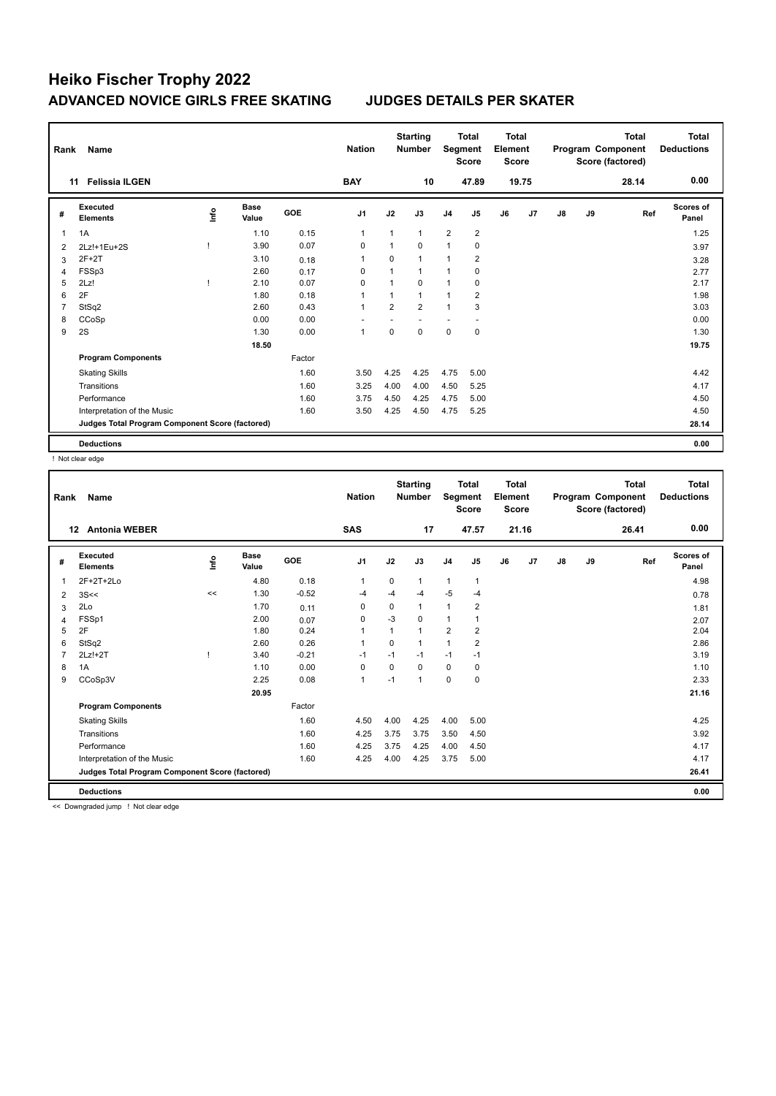| Rank | Name                                            |      |                      |        | <b>Nation</b>  |                | <b>Starting</b><br><b>Number</b> | Segment        | <b>Total</b><br><b>Score</b> | <b>Total</b><br>Element<br><b>Score</b> |       |               |    | <b>Total</b><br>Program Component<br>Score (factored) | <b>Total</b><br><b>Deductions</b> |
|------|-------------------------------------------------|------|----------------------|--------|----------------|----------------|----------------------------------|----------------|------------------------------|-----------------------------------------|-------|---------------|----|-------------------------------------------------------|-----------------------------------|
|      | <b>Felissia ILGEN</b><br>11                     |      |                      |        | <b>BAY</b>     |                | 10                               |                | 47.89                        |                                         | 19.75 |               |    | 28.14                                                 | 0.00                              |
| #    | Executed<br><b>Elements</b>                     | lnfo | <b>Base</b><br>Value | GOE    | J <sub>1</sub> | J2             | J3                               | J <sub>4</sub> | J <sub>5</sub>               | J6                                      | J7    | $\mathsf{J}8$ | J9 | Ref                                                   | Scores of<br>Panel                |
| 1    | 1A                                              |      | 1.10                 | 0.15   | $\mathbf{1}$   | $\mathbf{1}$   | $\mathbf{1}$                     | 2              | $\overline{2}$               |                                         |       |               |    |                                                       | 1.25                              |
| 2    | 2Lz!+1Eu+2S                                     |      | 3.90                 | 0.07   | $\mathbf 0$    | $\mathbf{1}$   | $\mathbf 0$                      | $\mathbf{1}$   | $\pmb{0}$                    |                                         |       |               |    |                                                       | 3.97                              |
| 3    | $2F+2T$                                         |      | 3.10                 | 0.18   | $\overline{1}$ | 0              | $\mathbf{1}$                     | 1              | $\overline{2}$               |                                         |       |               |    |                                                       | 3.28                              |
| 4    | FSSp3                                           |      | 2.60                 | 0.17   | 0              | $\mathbf{1}$   | $\mathbf{1}$                     | 1              | 0                            |                                         |       |               |    |                                                       | 2.77                              |
| 5    | 2Lz!                                            |      | 2.10                 | 0.07   | $\Omega$       |                | $\Omega$                         | 1              | 0                            |                                         |       |               |    |                                                       | 2.17                              |
| 6    | 2F                                              |      | 1.80                 | 0.18   | $\overline{1}$ | 1              | $\mathbf{1}$                     | 1              | $\overline{2}$               |                                         |       |               |    |                                                       | 1.98                              |
| 7    | StSq2                                           |      | 2.60                 | 0.43   | $\overline{1}$ | $\overline{2}$ | $\overline{2}$                   | $\mathbf{1}$   | 3                            |                                         |       |               |    |                                                       | 3.03                              |
| 8    | CCoSp                                           |      | 0.00                 | 0.00   |                |                |                                  | ٠              |                              |                                         |       |               |    |                                                       | 0.00                              |
| 9    | 2S                                              |      | 1.30                 | 0.00   | $\overline{1}$ | $\mathbf 0$    | $\mathbf 0$                      | $\mathbf 0$    | $\pmb{0}$                    |                                         |       |               |    |                                                       | 1.30                              |
|      |                                                 |      | 18.50                |        |                |                |                                  |                |                              |                                         |       |               |    |                                                       | 19.75                             |
|      | <b>Program Components</b>                       |      |                      | Factor |                |                |                                  |                |                              |                                         |       |               |    |                                                       |                                   |
|      | <b>Skating Skills</b>                           |      |                      | 1.60   | 3.50           | 4.25           | 4.25                             | 4.75           | 5.00                         |                                         |       |               |    |                                                       | 4.42                              |
|      | Transitions                                     |      |                      | 1.60   | 3.25           | 4.00           | 4.00                             | 4.50           | 5.25                         |                                         |       |               |    |                                                       | 4.17                              |
|      | Performance                                     |      |                      | 1.60   | 3.75           | 4.50           | 4.25                             | 4.75           | 5.00                         |                                         |       |               |    |                                                       | 4.50                              |
|      | Interpretation of the Music                     |      |                      | 1.60   | 3.50           | 4.25           | 4.50                             | 4.75           | 5.25                         |                                         |       |               |    |                                                       | 4.50                              |
|      | Judges Total Program Component Score (factored) |      |                      |        |                |                |                                  |                |                              |                                         |       |               |    |                                                       | 28.14                             |
|      | <b>Deductions</b>                               |      |                      |        |                |                |                                  |                |                              |                                         |       |               |    |                                                       | 0.00                              |

! Not clear edge

| Rank | <b>Name</b>                                     |      |                      |         | <b>Nation</b>  |             | <b>Starting</b><br><b>Number</b> | Segment        | Total<br><b>Score</b> | <b>Total</b><br>Element<br><b>Score</b> |       |    |    | <b>Total</b><br>Program Component<br>Score (factored) | <b>Total</b><br><b>Deductions</b> |
|------|-------------------------------------------------|------|----------------------|---------|----------------|-------------|----------------------------------|----------------|-----------------------|-----------------------------------------|-------|----|----|-------------------------------------------------------|-----------------------------------|
|      | <b>Antonia WEBER</b><br>$12 \,$                 |      |                      |         | <b>SAS</b>     |             | 17                               |                | 47.57                 |                                         | 21.16 |    |    | 26.41                                                 | 0.00                              |
| #    | Executed<br><b>Elements</b>                     | Info | <b>Base</b><br>Value | GOE     | J <sub>1</sub> | J2          | J3                               | J <sub>4</sub> | J <sub>5</sub>        | J6                                      | J7    | J8 | J9 | Ref                                                   | <b>Scores of</b><br>Panel         |
| 1    | $2F+2T+2Lo$                                     |      | 4.80                 | 0.18    | $\mathbf{1}$   | $\mathbf 0$ | 1                                | $\mathbf{1}$   | $\mathbf{1}$          |                                         |       |    |    |                                                       | 4.98                              |
| 2    | 3S<<                                            | <<   | 1.30                 | $-0.52$ | -4             | $-4$        | -4                               | $-5$           | $-4$                  |                                         |       |    |    |                                                       | 0.78                              |
| 3    | 2Lo                                             |      | 1.70                 | 0.11    | 0              | 0           | 1                                | 1              | 2                     |                                         |       |    |    |                                                       | 1.81                              |
| 4    | FSSp1                                           |      | 2.00                 | 0.07    | 0              | $-3$        | $\Omega$                         | $\mathbf{1}$   |                       |                                         |       |    |    |                                                       | 2.07                              |
| 5    | 2F                                              |      | 1.80                 | 0.24    | $\overline{1}$ | 1           | 1                                | $\overline{2}$ | $\overline{2}$        |                                         |       |    |    |                                                       | 2.04                              |
| 6    | StSq2                                           |      | 2.60                 | 0.26    | -1             | 0           | 1                                | 1              | 2                     |                                         |       |    |    |                                                       | 2.86                              |
|      | $2Lz!+2T$                                       |      | 3.40                 | $-0.21$ | $-1$           | $-1$        | $-1$                             | $-1$           | $-1$                  |                                         |       |    |    |                                                       | 3.19                              |
| 8    | 1A                                              |      | 1.10                 | 0.00    | $\mathbf 0$    | 0           | $\Omega$                         | $\mathbf 0$    | $\mathbf 0$           |                                         |       |    |    |                                                       | 1.10                              |
| 9    | CCoSp3V                                         |      | 2.25                 | 0.08    | $\mathbf{1}$   | $-1$        | 1                                | 0              | 0                     |                                         |       |    |    |                                                       | 2.33                              |
|      |                                                 |      | 20.95                |         |                |             |                                  |                |                       |                                         |       |    |    |                                                       | 21.16                             |
|      | <b>Program Components</b>                       |      |                      | Factor  |                |             |                                  |                |                       |                                         |       |    |    |                                                       |                                   |
|      | <b>Skating Skills</b>                           |      |                      | 1.60    | 4.50           | 4.00        | 4.25                             | 4.00           | 5.00                  |                                         |       |    |    |                                                       | 4.25                              |
|      | Transitions                                     |      |                      | 1.60    | 4.25           | 3.75        | 3.75                             | 3.50           | 4.50                  |                                         |       |    |    |                                                       | 3.92                              |
|      | Performance                                     |      |                      | 1.60    | 4.25           | 3.75        | 4.25                             | 4.00           | 4.50                  |                                         |       |    |    |                                                       | 4.17                              |
|      | Interpretation of the Music                     |      |                      | 1.60    | 4.25           | 4.00        | 4.25                             | 3.75           | 5.00                  |                                         |       |    |    |                                                       | 4.17                              |
|      | Judges Total Program Component Score (factored) |      |                      |         |                |             |                                  |                |                       |                                         |       |    |    |                                                       | 26.41                             |
|      | <b>Deductions</b>                               |      |                      |         |                |             |                                  |                |                       |                                         |       |    |    |                                                       | 0.00                              |

<< Downgraded jump ! Not clear edge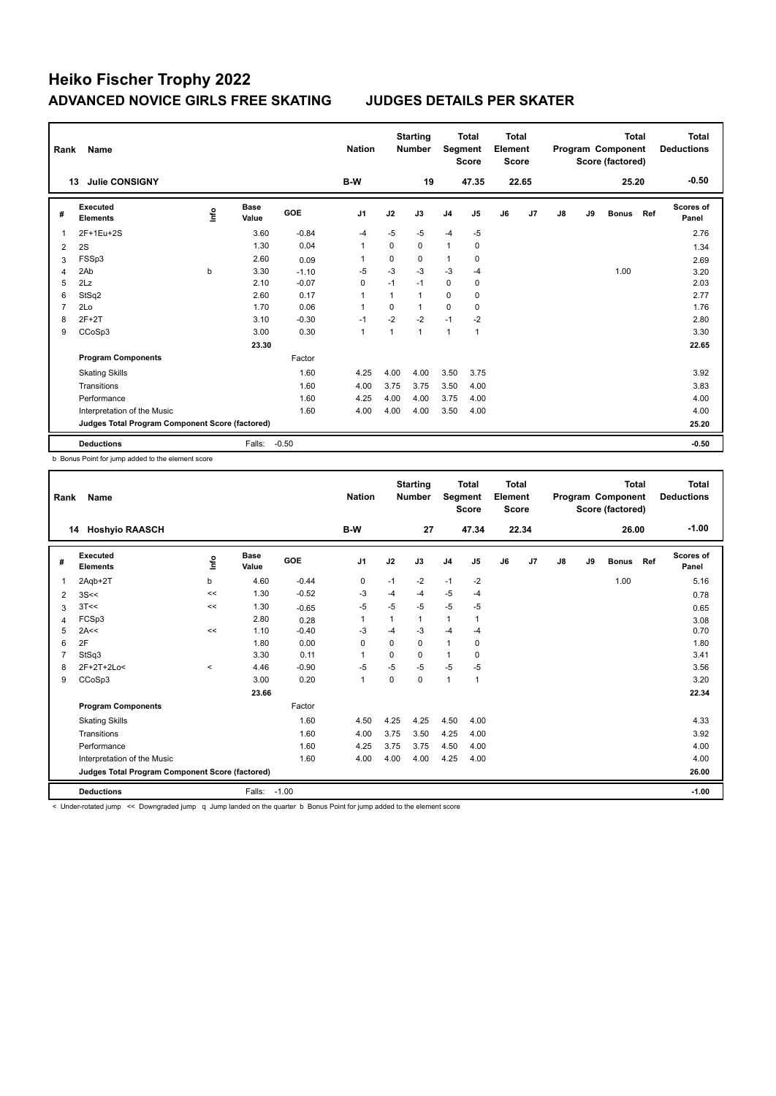| Rank | Name                                            |      |                      |            | <b>Nation</b>  |              | <b>Starting</b><br><b>Number</b> | Segment        | <b>Total</b><br><b>Score</b> | <b>Total</b><br>Element<br><b>Score</b> |       |               |    | <b>Total</b><br>Program Component<br>Score (factored) |     | Total<br><b>Deductions</b> |
|------|-------------------------------------------------|------|----------------------|------------|----------------|--------------|----------------------------------|----------------|------------------------------|-----------------------------------------|-------|---------------|----|-------------------------------------------------------|-----|----------------------------|
|      | <b>Julie CONSIGNY</b><br>13                     |      |                      |            | B-W            |              | 19                               |                | 47.35                        |                                         | 22.65 |               |    | 25.20                                                 |     | $-0.50$                    |
| #    | Executed<br><b>Elements</b>                     | ١nf٥ | <b>Base</b><br>Value | <b>GOE</b> | J <sub>1</sub> | J2           | J3                               | J <sub>4</sub> | J5                           | J6                                      | J7    | $\mathsf{J}8$ | J9 | <b>Bonus</b>                                          | Ref | <b>Scores of</b><br>Panel  |
| 1    | 2F+1Eu+2S                                       |      | 3.60                 | $-0.84$    | $-4$           | $-5$         | $-5$                             | $-4$           | $-5$                         |                                         |       |               |    |                                                       |     | 2.76                       |
| 2    | 2S                                              |      | 1.30                 | 0.04       | $\overline{1}$ | $\Omega$     | $\mathbf 0$                      | $\mathbf{1}$   | 0                            |                                         |       |               |    |                                                       |     | 1.34                       |
| 3    | FSSp3                                           |      | 2.60                 | 0.09       | -1             | $\Omega$     | $\Omega$                         | 1              | 0                            |                                         |       |               |    |                                                       |     | 2.69                       |
| 4    | 2Ab                                             | b    | 3.30                 | $-1.10$    | $-5$           | $-3$         | $-3$                             | $-3$           | $-4$                         |                                         |       |               |    | 1.00                                                  |     | 3.20                       |
| 5    | 2Lz                                             |      | 2.10                 | $-0.07$    | 0              | $-1$         | $-1$                             | 0              | 0                            |                                         |       |               |    |                                                       |     | 2.03                       |
| 6    | StSq2                                           |      | 2.60                 | 0.17       | $\overline{1}$ | 1            | $\mathbf{1}$                     | 0              | 0                            |                                         |       |               |    |                                                       |     | 2.77                       |
| 7    | 2Lo                                             |      | 1.70                 | 0.06       | $\overline{1}$ | $\Omega$     | $\mathbf{1}$                     | 0              | 0                            |                                         |       |               |    |                                                       |     | 1.76                       |
| 8    | $2F+2T$                                         |      | 3.10                 | $-0.30$    | $-1$           | $-2$         | $-2$                             | $-1$           | $-2$                         |                                         |       |               |    |                                                       |     | 2.80                       |
| 9    | CCoSp3                                          |      | 3.00                 | 0.30       | $\overline{1}$ | $\mathbf{1}$ | $\mathbf{1}$                     | 1              | $\overline{1}$               |                                         |       |               |    |                                                       |     | 3.30                       |
|      |                                                 |      | 23.30                |            |                |              |                                  |                |                              |                                         |       |               |    |                                                       |     | 22.65                      |
|      | <b>Program Components</b>                       |      |                      | Factor     |                |              |                                  |                |                              |                                         |       |               |    |                                                       |     |                            |
|      | <b>Skating Skills</b>                           |      |                      | 1.60       | 4.25           | 4.00         | 4.00                             | 3.50           | 3.75                         |                                         |       |               |    |                                                       |     | 3.92                       |
|      | Transitions                                     |      |                      | 1.60       | 4.00           | 3.75         | 3.75                             | 3.50           | 4.00                         |                                         |       |               |    |                                                       |     | 3.83                       |
|      | Performance                                     |      |                      | 1.60       | 4.25           | 4.00         | 4.00                             | 3.75           | 4.00                         |                                         |       |               |    |                                                       |     | 4.00                       |
|      | Interpretation of the Music                     |      |                      | 1.60       | 4.00           | 4.00         | 4.00                             | 3.50           | 4.00                         |                                         |       |               |    |                                                       |     | 4.00                       |
|      | Judges Total Program Component Score (factored) |      |                      |            |                |              |                                  |                |                              |                                         |       |               |    |                                                       |     | 25.20                      |
|      | <b>Deductions</b>                               |      | Falls:               | $-0.50$    |                |              |                                  |                |                              |                                         |       |               |    |                                                       |     | $-0.50$                    |

b Bonus Point for jump added to the element score

| Rank         | Name                                            |             |               |         | <b>Nation</b>  |          | <b>Starting</b><br><b>Number</b> | Segment        | <b>Total</b><br><b>Score</b> | <b>Total</b><br>Element<br><b>Score</b> |       |    |    | <b>Total</b><br>Program Component<br>Score (factored) |     | <b>Total</b><br><b>Deductions</b> |
|--------------|-------------------------------------------------|-------------|---------------|---------|----------------|----------|----------------------------------|----------------|------------------------------|-----------------------------------------|-------|----|----|-------------------------------------------------------|-----|-----------------------------------|
|              | <b>Hoshyio RAASCH</b><br>14                     |             |               |         | B-W            |          | 27                               |                | 47.34                        |                                         | 22.34 |    |    | 26.00                                                 |     | $-1.00$                           |
| #            | Executed<br><b>Elements</b>                     | <u>lnfo</u> | Base<br>Value | GOE     | J <sub>1</sub> | J2       | J3                               | J <sub>4</sub> | J5                           | J6                                      | J7    | J8 | J9 | <b>Bonus</b>                                          | Ref | Scores of<br>Panel                |
| $\mathbf{1}$ | 2Agb+2T                                         | b           | 4.60          | $-0.44$ | 0              | $-1$     | $-2$                             | $-1$           | $-2$                         |                                         |       |    |    | 1.00                                                  |     | 5.16                              |
| 2            | 3S<<                                            | <<          | 1.30          | $-0.52$ | -3             | -4       | $-4$                             | $-5$           | $-4$                         |                                         |       |    |    |                                                       |     | 0.78                              |
| 3            | 3T<<                                            | $\,<$       | 1.30          | $-0.65$ | $-5$           | $-5$     | $-5$                             | -5             | $-5$                         |                                         |       |    |    |                                                       |     | 0.65                              |
| 4            | FCSp3                                           |             | 2.80          | 0.28    | 1              |          | 1                                | $\mathbf{1}$   | $\overline{1}$               |                                         |       |    |    |                                                       |     | 3.08                              |
| 5            | 2A<<                                            | <<          | 1.10          | $-0.40$ | $-3$           | $-4$     | $-3$                             | $-4$           | $-4$                         |                                         |       |    |    |                                                       |     | 0.70                              |
| 6            | 2F                                              |             | 1.80          | 0.00    | $\mathbf 0$    | $\Omega$ | 0                                | $\mathbf{1}$   | 0                            |                                         |       |    |    |                                                       |     | 1.80                              |
| 7            | StSq3                                           |             | 3.30          | 0.11    | $\overline{1}$ | $\Omega$ | $\Omega$                         | $\mathbf{1}$   | $\Omega$                     |                                         |       |    |    |                                                       |     | 3.41                              |
| 8            | 2F+2T+2Lo<                                      | $\hat{}$    | 4.46          | $-0.90$ | $-5$           | $-5$     | $-5$                             | $-5$           | $-5$                         |                                         |       |    |    |                                                       |     | 3.56                              |
| 9            | CCoSp3                                          |             | 3.00          | 0.20    | $\mathbf{1}$   | 0        | 0                                | $\overline{1}$ | 1                            |                                         |       |    |    |                                                       |     | 3.20                              |
|              |                                                 |             | 23.66         |         |                |          |                                  |                |                              |                                         |       |    |    |                                                       |     | 22.34                             |
|              | <b>Program Components</b>                       |             |               | Factor  |                |          |                                  |                |                              |                                         |       |    |    |                                                       |     |                                   |
|              | <b>Skating Skills</b>                           |             |               | 1.60    | 4.50           | 4.25     | 4.25                             | 4.50           | 4.00                         |                                         |       |    |    |                                                       |     | 4.33                              |
|              | Transitions                                     |             |               | 1.60    | 4.00           | 3.75     | 3.50                             | 4.25           | 4.00                         |                                         |       |    |    |                                                       |     | 3.92                              |
|              | Performance                                     |             |               | 1.60    | 4.25           | 3.75     | 3.75                             | 4.50           | 4.00                         |                                         |       |    |    |                                                       |     | 4.00                              |
|              | Interpretation of the Music                     |             |               | 1.60    | 4.00           | 4.00     | 4.00                             | 4.25           | 4.00                         |                                         |       |    |    |                                                       |     | 4.00                              |
|              | Judges Total Program Component Score (factored) |             |               |         |                |          |                                  |                |                              |                                         |       |    |    |                                                       |     | 26.00                             |
|              | <b>Deductions</b>                               |             | Falls:        | $-1.00$ |                |          |                                  |                |                              |                                         |       |    |    |                                                       |     | $-1.00$                           |

< Under-rotated jump << Downgraded jump q Jump landed on the quarter b Bonus Point for jump added to the element score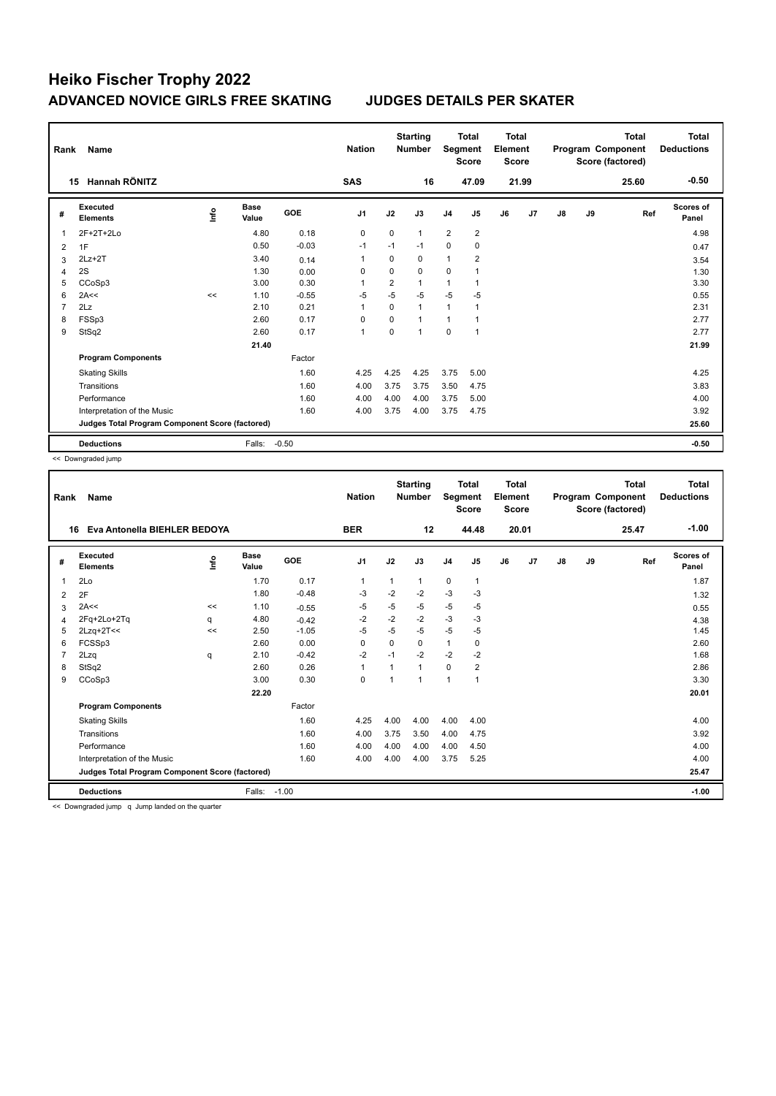| Rank | Name                                            |      |                      |            | <b>Nation</b>  |             | <b>Starting</b><br><b>Number</b> | Segment        | <b>Total</b><br><b>Score</b> | <b>Total</b><br>Element<br><b>Score</b> |       |    |    | <b>Total</b><br>Program Component<br>Score (factored) | Total<br><b>Deductions</b> |
|------|-------------------------------------------------|------|----------------------|------------|----------------|-------------|----------------------------------|----------------|------------------------------|-----------------------------------------|-------|----|----|-------------------------------------------------------|----------------------------|
|      | Hannah RÖNITZ<br>15                             |      |                      |            | <b>SAS</b>     |             | 16                               |                | 47.09                        |                                         | 21.99 |    |    | 25.60                                                 | $-0.50$                    |
| #    | <b>Executed</b><br><b>Elements</b>              | ١nf٥ | <b>Base</b><br>Value | <b>GOE</b> | J <sub>1</sub> | J2          | J3                               | J <sub>4</sub> | J5                           | J6                                      | J7    | J8 | J9 | Ref                                                   | Scores of<br>Panel         |
| 1    | $2F+2T+2Lo$                                     |      | 4.80                 | 0.18       | $\mathbf 0$    | 0           | $\mathbf{1}$                     | $\overline{2}$ | $\overline{2}$               |                                         |       |    |    |                                                       | 4.98                       |
| 2    | 1F                                              |      | 0.50                 | $-0.03$    | $-1$           | $-1$        | $-1$                             | 0              | 0                            |                                         |       |    |    |                                                       | 0.47                       |
| 3    | $2Lz+2T$                                        |      | 3.40                 | 0.14       | -1             | $\Omega$    | $\Omega$                         | 1              | $\overline{2}$               |                                         |       |    |    |                                                       | 3.54                       |
| 4    | 2S                                              |      | 1.30                 | 0.00       | 0              | $\mathbf 0$ | $\Omega$                         | 0              |                              |                                         |       |    |    |                                                       | 1.30                       |
| 5    | CCoSp3                                          |      | 3.00                 | 0.30       | -1             | 2           | 1                                | 1              |                              |                                         |       |    |    |                                                       | 3.30                       |
| 6    | 2A<<                                            | <<   | 1.10                 | $-0.55$    | $-5$           | $-5$        | $-5$                             | $-5$           | $-5$                         |                                         |       |    |    |                                                       | 0.55                       |
| 7    | 2Lz                                             |      | 2.10                 | 0.21       | $\overline{1}$ | $\Omega$    | $\mathbf{1}$                     | 1              | $\overline{1}$               |                                         |       |    |    |                                                       | 2.31                       |
| 8    | FSSp3                                           |      | 2.60                 | 0.17       | $\Omega$       | $\Omega$    | $\blacktriangleleft$             | $\mathbf{1}$   |                              |                                         |       |    |    |                                                       | 2.77                       |
| 9    | StSq2                                           |      | 2.60                 | 0.17       | $\overline{1}$ | $\Omega$    | 1                                | $\Omega$       | $\overline{1}$               |                                         |       |    |    |                                                       | 2.77                       |
|      |                                                 |      | 21.40                |            |                |             |                                  |                |                              |                                         |       |    |    |                                                       | 21.99                      |
|      | <b>Program Components</b>                       |      |                      | Factor     |                |             |                                  |                |                              |                                         |       |    |    |                                                       |                            |
|      | <b>Skating Skills</b>                           |      |                      | 1.60       | 4.25           | 4.25        | 4.25                             | 3.75           | 5.00                         |                                         |       |    |    |                                                       | 4.25                       |
|      | Transitions                                     |      |                      | 1.60       | 4.00           | 3.75        | 3.75                             | 3.50           | 4.75                         |                                         |       |    |    |                                                       | 3.83                       |
|      | Performance                                     |      |                      | 1.60       | 4.00           | 4.00        | 4.00                             | 3.75           | 5.00                         |                                         |       |    |    |                                                       | 4.00                       |
|      | Interpretation of the Music                     |      |                      | 1.60       | 4.00           | 3.75        | 4.00                             | 3.75           | 4.75                         |                                         |       |    |    |                                                       | 3.92                       |
|      | Judges Total Program Component Score (factored) |      |                      |            |                |             |                                  |                |                              |                                         |       |    |    |                                                       | 25.60                      |
|      | <b>Deductions</b>                               |      | Falls:               | $-0.50$    |                |             |                                  |                |                              |                                         |       |    |    |                                                       | $-0.50$                    |

<< Downgraded jump

| Rank | Name                                            |      |                      |         | <b>Nation</b>  |              | <b>Starting</b><br><b>Number</b> | Segment        | <b>Total</b><br><b>Score</b> | <b>Total</b><br>Element<br><b>Score</b> |       |               |    | <b>Total</b><br>Program Component<br>Score (factored) | <b>Total</b><br><b>Deductions</b> |
|------|-------------------------------------------------|------|----------------------|---------|----------------|--------------|----------------------------------|----------------|------------------------------|-----------------------------------------|-------|---------------|----|-------------------------------------------------------|-----------------------------------|
|      | Eva Antonella BIEHLER BEDOYA<br>16              |      |                      |         | <b>BER</b>     |              | 12                               |                | 44.48                        |                                         | 20.01 |               |    | 25.47                                                 | $-1.00$                           |
| #    | Executed<br><b>Elements</b>                     | lnfo | <b>Base</b><br>Value | GOE     | J <sub>1</sub> | J2           | J3                               | J <sub>4</sub> | J5                           | J6                                      | J7    | $\mathsf{J}8$ | J9 | Ref                                                   | <b>Scores of</b><br>Panel         |
| 1    | 2Lo                                             |      | 1.70                 | 0.17    | $\overline{1}$ | $\mathbf{1}$ | 1                                | $\pmb{0}$      | $\mathbf{1}$                 |                                         |       |               |    |                                                       | 1.87                              |
| 2    | 2F                                              |      | 1.80                 | $-0.48$ | -3             | $-2$         | $-2$                             | $-3$           | -3                           |                                         |       |               |    |                                                       | 1.32                              |
| 3    | 2A<<                                            | <<   | 1.10                 | $-0.55$ | -5             | -5           | $-5$                             | $-5$           | -5                           |                                         |       |               |    |                                                       | 0.55                              |
| 4    | 2Fq+2Lo+2Tq                                     | q    | 4.80                 | $-0.42$ | $-2$           | $-2$         | $-2$                             | $-3$           | $-3$                         |                                         |       |               |    |                                                       | 4.38                              |
| 5    | $2Lzq+2T<<$                                     | <<   | 2.50                 | $-1.05$ | -5             | $-5$         | $-5$                             | $-5$           | $-5$                         |                                         |       |               |    |                                                       | 1.45                              |
| 6    | FCSSp3                                          |      | 2.60                 | 0.00    | 0              | 0            | 0                                | $\mathbf{1}$   | 0                            |                                         |       |               |    |                                                       | 2.60                              |
|      | 2Lzq                                            | q    | 2.10                 | $-0.42$ | $-2$           | $-1$         | $-2$                             | $-2$           | $-2$                         |                                         |       |               |    |                                                       | 1.68                              |
| 8    | StSq2                                           |      | 2.60                 | 0.26    | $\mathbf{1}$   | 1            | 1                                | $\mathbf 0$    | 2                            |                                         |       |               |    |                                                       | 2.86                              |
| 9    | CCoSp3                                          |      | 3.00                 | 0.30    | 0              | 1            | $\overline{1}$                   | $\mathbf{1}$   | 1                            |                                         |       |               |    |                                                       | 3.30                              |
|      |                                                 |      | 22.20                |         |                |              |                                  |                |                              |                                         |       |               |    |                                                       | 20.01                             |
|      | <b>Program Components</b>                       |      |                      | Factor  |                |              |                                  |                |                              |                                         |       |               |    |                                                       |                                   |
|      | <b>Skating Skills</b>                           |      |                      | 1.60    | 4.25           | 4.00         | 4.00                             | 4.00           | 4.00                         |                                         |       |               |    |                                                       | 4.00                              |
|      | Transitions                                     |      |                      | 1.60    | 4.00           | 3.75         | 3.50                             | 4.00           | 4.75                         |                                         |       |               |    |                                                       | 3.92                              |
|      | Performance                                     |      |                      | 1.60    | 4.00           | 4.00         | 4.00                             | 4.00           | 4.50                         |                                         |       |               |    |                                                       | 4.00                              |
|      | Interpretation of the Music                     |      |                      | 1.60    | 4.00           | 4.00         | 4.00                             | 3.75           | 5.25                         |                                         |       |               |    |                                                       | 4.00                              |
|      | Judges Total Program Component Score (factored) |      |                      |         |                |              |                                  |                |                              |                                         |       |               |    |                                                       | 25.47                             |
|      | <b>Deductions</b>                               |      | Falls:               | $-1.00$ |                |              |                                  |                |                              |                                         |       |               |    |                                                       | $-1.00$                           |

<< Downgraded jump q Jump landed on the quarter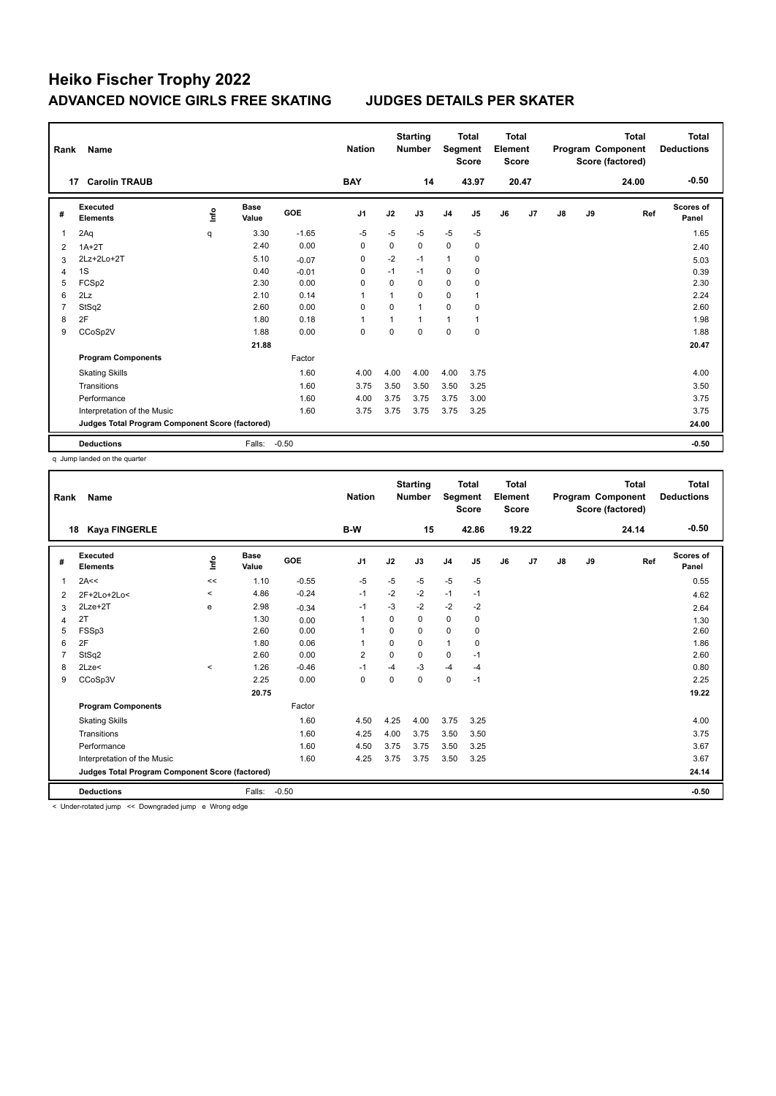| Rank           | Name                                            |      |                      |            | <b>Nation</b>  |          | <b>Starting</b><br><b>Number</b> | Segment        | Total<br><b>Score</b> | <b>Total</b><br>Element<br><b>Score</b> |       |    |    | <b>Total</b><br>Program Component<br>Score (factored) | <b>Total</b><br><b>Deductions</b> |
|----------------|-------------------------------------------------|------|----------------------|------------|----------------|----------|----------------------------------|----------------|-----------------------|-----------------------------------------|-------|----|----|-------------------------------------------------------|-----------------------------------|
|                | <b>Carolin TRAUB</b><br>17                      |      |                      |            | <b>BAY</b>     |          | 14                               |                | 43.97                 |                                         | 20.47 |    |    | 24.00                                                 | $-0.50$                           |
| #              | Executed<br><b>Elements</b>                     | ١nf٥ | <b>Base</b><br>Value | <b>GOE</b> | J <sub>1</sub> | J2       | J3                               | J <sub>4</sub> | J5                    | J6                                      | J7    | J8 | J9 | Ref                                                   | Scores of<br>Panel                |
| 1              | 2Aq                                             | q    | 3.30                 | $-1.65$    | $-5$           | $-5$     | $-5$                             | $-5$           | $-5$                  |                                         |       |    |    |                                                       | 1.65                              |
| 2              | $1A+2T$                                         |      | 2.40                 | 0.00       | $\mathbf 0$    | $\Omega$ | 0                                | $\mathbf 0$    | 0                     |                                         |       |    |    |                                                       | 2.40                              |
| 3              | 2Lz+2Lo+2T                                      |      | 5.10                 | $-0.07$    | 0              | $-2$     | $-1$                             | $\overline{1}$ | 0                     |                                         |       |    |    |                                                       | 5.03                              |
| 4              | 1S                                              |      | 0.40                 | $-0.01$    | 0              | $-1$     | $-1$                             | $\mathbf 0$    | 0                     |                                         |       |    |    |                                                       | 0.39                              |
| 5              | FCSp2                                           |      | 2.30                 | 0.00       | $\Omega$       | $\Omega$ | $\Omega$                         | $\Omega$       | $\Omega$              |                                         |       |    |    |                                                       | 2.30                              |
| 6              | 2Lz                                             |      | 2.10                 | 0.14       | $\overline{1}$ | 1        | 0                                | $\mathbf 0$    | 1                     |                                         |       |    |    |                                                       | 2.24                              |
| $\overline{7}$ | StSq2                                           |      | 2.60                 | 0.00       | $\Omega$       | $\Omega$ | 1                                | $\Omega$       | $\Omega$              |                                         |       |    |    |                                                       | 2.60                              |
| 8              | 2F                                              |      | 1.80                 | 0.18       | $\overline{1}$ |          | 1                                | 1              |                       |                                         |       |    |    |                                                       | 1.98                              |
| 9              | CCoSp2V                                         |      | 1.88                 | 0.00       | 0              | $\Omega$ | $\Omega$                         | 0              | $\Omega$              |                                         |       |    |    |                                                       | 1.88                              |
|                |                                                 |      | 21.88                |            |                |          |                                  |                |                       |                                         |       |    |    |                                                       | 20.47                             |
|                | <b>Program Components</b>                       |      |                      | Factor     |                |          |                                  |                |                       |                                         |       |    |    |                                                       |                                   |
|                | <b>Skating Skills</b>                           |      |                      | 1.60       | 4.00           | 4.00     | 4.00                             | 4.00           | 3.75                  |                                         |       |    |    |                                                       | 4.00                              |
|                | Transitions                                     |      |                      | 1.60       | 3.75           | 3.50     | 3.50                             | 3.50           | 3.25                  |                                         |       |    |    |                                                       | 3.50                              |
|                | Performance                                     |      |                      | 1.60       | 4.00           | 3.75     | 3.75                             | 3.75           | 3.00                  |                                         |       |    |    |                                                       | 3.75                              |
|                | Interpretation of the Music                     |      |                      | 1.60       | 3.75           | 3.75     | 3.75                             | 3.75           | 3.25                  |                                         |       |    |    |                                                       | 3.75                              |
|                | Judges Total Program Component Score (factored) |      |                      |            |                |          |                                  |                |                       |                                         |       |    |    |                                                       | 24.00                             |
|                | <b>Deductions</b>                               |      | Falls:               | $-0.50$    |                |          |                                  |                |                       |                                         |       |    |    |                                                       | $-0.50$                           |

q Jump landed on the quarter

| Rank | Name                                            |                          |                      |         | <b>Nation</b>  |          | <b>Starting</b><br><b>Number</b> | Segment        | <b>Total</b><br><b>Score</b> | <b>Total</b><br>Element<br><b>Score</b> |       |               |    | <b>Total</b><br>Program Component<br>Score (factored) | <b>Total</b><br><b>Deductions</b> |
|------|-------------------------------------------------|--------------------------|----------------------|---------|----------------|----------|----------------------------------|----------------|------------------------------|-----------------------------------------|-------|---------------|----|-------------------------------------------------------|-----------------------------------|
|      | <b>Kaya FINGERLE</b><br>18                      |                          |                      |         | B-W            |          | 15                               |                | 42.86                        |                                         | 19.22 |               |    | 24.14                                                 | $-0.50$                           |
| #    | Executed<br><b>Elements</b>                     | lnfo                     | <b>Base</b><br>Value | GOE     | J <sub>1</sub> | J2       | J3                               | J <sub>4</sub> | J5                           | J6                                      | J7    | $\mathsf{J}8$ | J9 | Ref                                                   | Scores of<br>Panel                |
| 1    | 2A<<                                            | <<                       | 1.10                 | $-0.55$ | $-5$           | $-5$     | $-5$                             | $-5$           | $-5$                         |                                         |       |               |    |                                                       | 0.55                              |
| 2    | 2F+2Lo+2Lo<                                     | $\overline{\phantom{a}}$ | 4.86                 | $-0.24$ | $-1$           | $-2$     | $-2$                             | $-1$           | $-1$                         |                                         |       |               |    |                                                       | 4.62                              |
| 3    | 2Lze+2T                                         | e                        | 2.98                 | $-0.34$ | $-1$           | $-3$     | $-2$                             | $-2$           | $-2$                         |                                         |       |               |    |                                                       | 2.64                              |
| 4    | 2T                                              |                          | 1.30                 | 0.00    | 1              | $\Omega$ | $\Omega$                         | $\mathbf 0$    | $\mathbf 0$                  |                                         |       |               |    |                                                       | 1.30                              |
| 5    | FSSp3                                           |                          | 2.60                 | 0.00    | $\mathbf{1}$   | 0        | 0                                | $\mathbf 0$    | 0                            |                                         |       |               |    |                                                       | 2.60                              |
| 6    | 2F                                              |                          | 1.80                 | 0.06    | $\overline{1}$ | $\Omega$ | 0                                | $\mathbf{1}$   | 0                            |                                         |       |               |    |                                                       | 1.86                              |
|      | StSq2                                           |                          | 2.60                 | 0.00    | $\overline{2}$ | $\Omega$ | $\Omega$                         | $\mathbf 0$    | $-1$                         |                                         |       |               |    |                                                       | 2.60                              |
| 8    | 2Lze<                                           | $\prec$                  | 1.26                 | $-0.46$ | $-1$           | $-4$     | $-3$                             | $-4$           | $-4$                         |                                         |       |               |    |                                                       | 0.80                              |
| 9    | CCoSp3V                                         |                          | 2.25                 | 0.00    | $\mathbf 0$    | $\Omega$ | $\Omega$                         | $\mathbf 0$    | $-1$                         |                                         |       |               |    |                                                       | 2.25                              |
|      |                                                 |                          | 20.75                |         |                |          |                                  |                |                              |                                         |       |               |    |                                                       | 19.22                             |
|      | <b>Program Components</b>                       |                          |                      | Factor  |                |          |                                  |                |                              |                                         |       |               |    |                                                       |                                   |
|      | <b>Skating Skills</b>                           |                          |                      | 1.60    | 4.50           | 4.25     | 4.00                             | 3.75           | 3.25                         |                                         |       |               |    |                                                       | 4.00                              |
|      | Transitions                                     |                          |                      | 1.60    | 4.25           | 4.00     | 3.75                             | 3.50           | 3.50                         |                                         |       |               |    |                                                       | 3.75                              |
|      | Performance                                     |                          |                      | 1.60    | 4.50           | 3.75     | 3.75                             | 3.50           | 3.25                         |                                         |       |               |    |                                                       | 3.67                              |
|      | Interpretation of the Music                     |                          |                      | 1.60    | 4.25           | 3.75     | 3.75                             | 3.50           | 3.25                         |                                         |       |               |    |                                                       | 3.67                              |
|      | Judges Total Program Component Score (factored) |                          |                      |         |                |          |                                  |                |                              |                                         |       |               |    |                                                       | 24.14                             |
|      | <b>Deductions</b>                               |                          | Falls:               | $-0.50$ |                |          |                                  |                |                              |                                         |       |               |    |                                                       | $-0.50$                           |

< Under-rotated jump << Downgraded jump e Wrong edge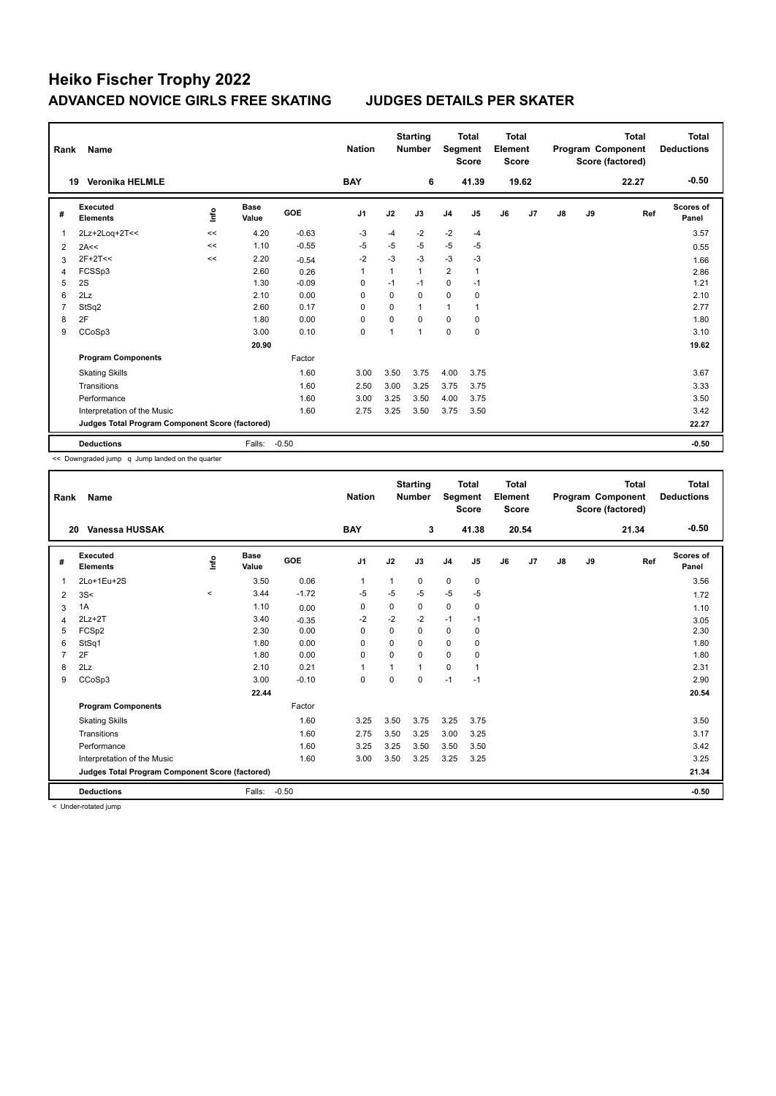| Rank           | Name                                            |      |                      |            | <b>Nation</b>  |          | <b>Starting</b><br><b>Number</b> | Segment        | <b>Total</b><br><b>Score</b> | <b>Total</b><br>Element<br><b>Score</b> |       |    |    | <b>Total</b><br>Program Component<br>Score (factored) | Total<br><b>Deductions</b> |
|----------------|-------------------------------------------------|------|----------------------|------------|----------------|----------|----------------------------------|----------------|------------------------------|-----------------------------------------|-------|----|----|-------------------------------------------------------|----------------------------|
|                | <b>Veronika HELMLE</b><br>19                    |      |                      |            | <b>BAY</b>     |          | 6                                |                | 41.39                        |                                         | 19.62 |    |    | 22.27                                                 | $-0.50$                    |
| #              | Executed<br><b>Elements</b>                     | lnfo | <b>Base</b><br>Value | <b>GOE</b> | J <sub>1</sub> | J2       | J3                               | J <sub>4</sub> | J5                           | J6                                      | J7    | J8 | J9 | Ref                                                   | <b>Scores of</b><br>Panel  |
| 1              | 2Lz+2Log+2T<<                                   | <<   | 4.20                 | $-0.63$    | $-3$           | -4       | $-2$                             | $-2$           | $-4$                         |                                         |       |    |    |                                                       | 3.57                       |
| 2              | 2A<<                                            | <<   | 1.10                 | $-0.55$    | $-5$           | $-5$     | $-5$                             | $-5$           | $-5$                         |                                         |       |    |    |                                                       | 0.55                       |
| 3              | $2F+2T<<$                                       | <<   | 2.20                 | $-0.54$    | $-2$           | $-3$     | $-3$                             | $-3$           | $-3$                         |                                         |       |    |    |                                                       | 1.66                       |
| 4              | FCSSp3                                          |      | 2.60                 | 0.26       | 1              | 1        | $\mathbf{1}$                     | $\overline{2}$ |                              |                                         |       |    |    |                                                       | 2.86                       |
| 5              | 2S                                              |      | 1.30                 | $-0.09$    | $\Omega$       | $-1$     | $-1$                             | 0              | $-1$                         |                                         |       |    |    |                                                       | 1.21                       |
| 6              | 2Lz                                             |      | 2.10                 | 0.00       | 0              | 0        | 0                                | 0              | 0                            |                                         |       |    |    |                                                       | 2.10                       |
| $\overline{7}$ | StSq2                                           |      | 2.60                 | 0.17       | $\Omega$       | $\Omega$ | $\mathbf{1}$                     | 1              | $\mathbf 1$                  |                                         |       |    |    |                                                       | 2.77                       |
| 8              | 2F                                              |      | 1.80                 | 0.00       | $\Omega$       | $\Omega$ | $\Omega$                         | $\Omega$       | $\mathbf 0$                  |                                         |       |    |    |                                                       | 1.80                       |
| 9              | CCoSp3                                          |      | 3.00                 | 0.10       | 0              | 1        | 1                                | 0              | $\mathbf 0$                  |                                         |       |    |    |                                                       | 3.10                       |
|                |                                                 |      | 20.90                |            |                |          |                                  |                |                              |                                         |       |    |    |                                                       | 19.62                      |
|                | <b>Program Components</b>                       |      |                      | Factor     |                |          |                                  |                |                              |                                         |       |    |    |                                                       |                            |
|                | <b>Skating Skills</b>                           |      |                      | 1.60       | 3.00           | 3.50     | 3.75                             | 4.00           | 3.75                         |                                         |       |    |    |                                                       | 3.67                       |
|                | Transitions                                     |      |                      | 1.60       | 2.50           | 3.00     | 3.25                             | 3.75           | 3.75                         |                                         |       |    |    |                                                       | 3.33                       |
|                | Performance                                     |      |                      | 1.60       | 3.00           | 3.25     | 3.50                             | 4.00           | 3.75                         |                                         |       |    |    |                                                       | 3.50                       |
|                | Interpretation of the Music                     |      |                      | 1.60       | 2.75           | 3.25     | 3.50                             | 3.75           | 3.50                         |                                         |       |    |    |                                                       | 3.42                       |
|                | Judges Total Program Component Score (factored) |      |                      |            |                |          |                                  |                |                              |                                         |       |    |    |                                                       | 22.27                      |
|                | <b>Deductions</b>                               |      | Falls:               | $-0.50$    |                |          |                                  |                |                              |                                         |       |    |    |                                                       | $-0.50$                    |

<< Downgraded jump q Jump landed on the quarter

| Rank         | Name                                            |         |                      |            | <b>Nation</b>  |          | <b>Starting</b><br><b>Number</b> | Segment        | <b>Total</b><br><b>Score</b> | Total<br>Element<br><b>Score</b> |       |    |    | <b>Total</b><br>Program Component<br>Score (factored) | <b>Total</b><br><b>Deductions</b> |
|--------------|-------------------------------------------------|---------|----------------------|------------|----------------|----------|----------------------------------|----------------|------------------------------|----------------------------------|-------|----|----|-------------------------------------------------------|-----------------------------------|
| 20           | Vanessa HUSSAK                                  |         |                      |            | <b>BAY</b>     |          | 3                                |                | 41.38                        |                                  | 20.54 |    |    | 21.34                                                 | $-0.50$                           |
| #            | Executed<br><b>Elements</b>                     | Info    | <b>Base</b><br>Value | <b>GOE</b> | J <sub>1</sub> | J2       | J3                               | J <sub>4</sub> | J5                           | J6                               | J7    | J8 | J9 | Ref                                                   | <b>Scores of</b><br>Panel         |
| $\mathbf{1}$ | 2Lo+1Eu+2S                                      |         | 3.50                 | 0.06       | $\mathbf{1}$   | 1        | 0                                | 0              | $\pmb{0}$                    |                                  |       |    |    |                                                       | 3.56                              |
| 2            | 3S<                                             | $\prec$ | 3.44                 | $-1.72$    | -5             | $-5$     | $-5$                             | $-5$           | $-5$                         |                                  |       |    |    |                                                       | 1.72                              |
| 3            | 1A                                              |         | 1.10                 | 0.00       | 0              | 0        | 0                                | $\mathbf 0$    | 0                            |                                  |       |    |    |                                                       | 1.10                              |
| 4            | $2Lz+2T$                                        |         | 3.40                 | $-0.35$    | $-2$           | $-2$     | $-2$                             | $-1$           | $-1$                         |                                  |       |    |    |                                                       | 3.05                              |
| 5            | FCSp2                                           |         | 2.30                 | 0.00       | $\mathbf 0$    | 0        | $\mathbf 0$                      | 0              | $\mathbf 0$                  |                                  |       |    |    |                                                       | 2.30                              |
| 6            | StSq1                                           |         | 1.80                 | 0.00       | 0              | 0        | $\Omega$                         | 0              | 0                            |                                  |       |    |    |                                                       | 1.80                              |
| 7            | 2F                                              |         | 1.80                 | 0.00       | $\mathbf 0$    | $\Omega$ | $\Omega$                         | 0              | 0                            |                                  |       |    |    |                                                       | 1.80                              |
| 8            | 2Lz                                             |         | 2.10                 | 0.21       | 1              |          | $\mathbf{1}$                     | 0              | $\overline{1}$               |                                  |       |    |    |                                                       | 2.31                              |
| 9            | CCoSp3                                          |         | 3.00                 | $-0.10$    | $\mathbf 0$    | $\Omega$ | $\Omega$                         | $-1$           | $-1$                         |                                  |       |    |    |                                                       | 2.90                              |
|              |                                                 |         | 22.44                |            |                |          |                                  |                |                              |                                  |       |    |    |                                                       | 20.54                             |
|              | <b>Program Components</b>                       |         |                      | Factor     |                |          |                                  |                |                              |                                  |       |    |    |                                                       |                                   |
|              | <b>Skating Skills</b>                           |         |                      | 1.60       | 3.25           | 3.50     | 3.75                             | 3.25           | 3.75                         |                                  |       |    |    |                                                       | 3.50                              |
|              | Transitions                                     |         |                      | 1.60       | 2.75           | 3.50     | 3.25                             | 3.00           | 3.25                         |                                  |       |    |    |                                                       | 3.17                              |
|              | Performance                                     |         |                      | 1.60       | 3.25           | 3.25     | 3.50                             | 3.50           | 3.50                         |                                  |       |    |    |                                                       | 3.42                              |
|              | Interpretation of the Music                     |         |                      | 1.60       | 3.00           | 3.50     | 3.25                             | 3.25           | 3.25                         |                                  |       |    |    |                                                       | 3.25                              |
|              | Judges Total Program Component Score (factored) |         |                      |            |                |          |                                  |                |                              |                                  |       |    |    |                                                       | 21.34                             |
|              | <b>Deductions</b>                               |         | Falls:               | $-0.50$    |                |          |                                  |                |                              |                                  |       |    |    |                                                       | $-0.50$                           |

< Under-rotated jump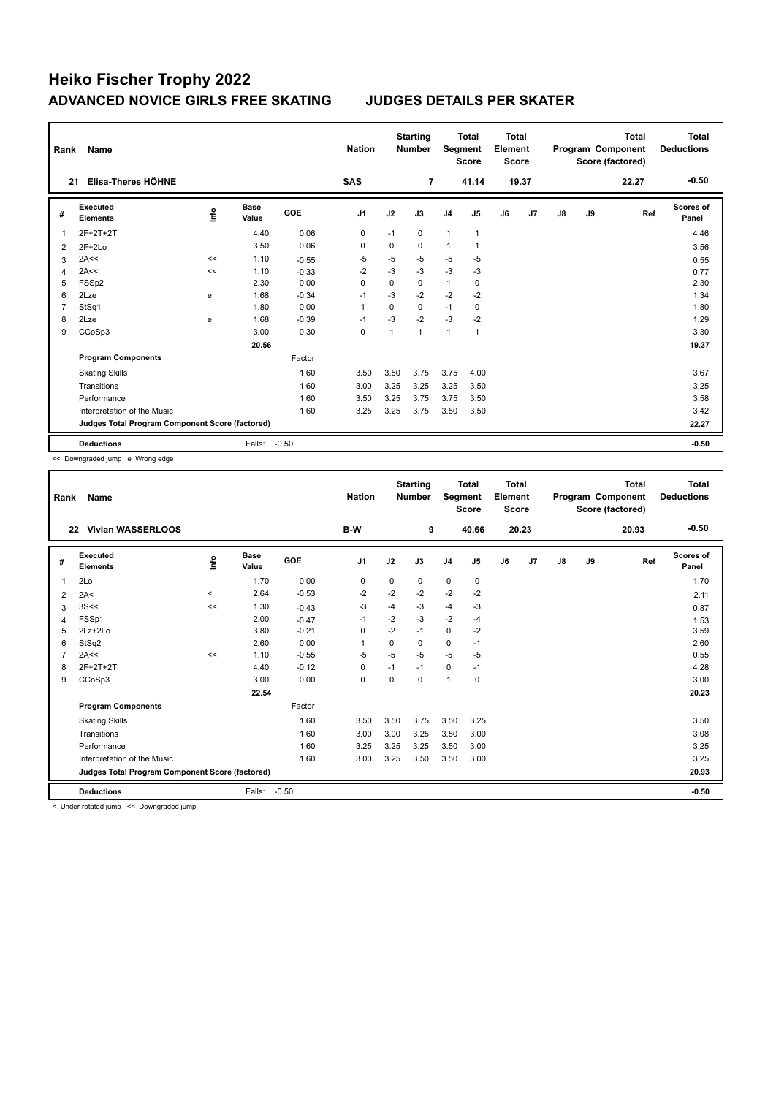| Rank           | Name                                            |      |                      |            | <b>Nation</b>  |              | <b>Starting</b><br><b>Number</b> | Segment        | <b>Total</b><br><b>Score</b> | Total<br>Element<br><b>Score</b> |       |               |    | <b>Total</b><br>Program Component<br>Score (factored) | Total<br><b>Deductions</b> |
|----------------|-------------------------------------------------|------|----------------------|------------|----------------|--------------|----------------------------------|----------------|------------------------------|----------------------------------|-------|---------------|----|-------------------------------------------------------|----------------------------|
| 21             | Elisa-Theres HÖHNE                              |      |                      |            | <b>SAS</b>     |              | 7                                |                | 41.14                        |                                  | 19.37 |               |    | 22.27                                                 | $-0.50$                    |
| #              | Executed<br><b>Elements</b>                     | lnfo | <b>Base</b><br>Value | <b>GOE</b> | J <sub>1</sub> | J2           | J3                               | J <sub>4</sub> | J <sub>5</sub>               | J6                               | J7    | $\mathsf{J}8$ | J9 | Ref                                                   | Scores of<br>Panel         |
| 1              | 2F+2T+2T                                        |      | 4.40                 | 0.06       | $\mathbf 0$    | $-1$         | $\mathbf 0$                      | $\mathbf{1}$   | $\mathbf{1}$                 |                                  |       |               |    |                                                       | 4.46                       |
| 2              | $2F+2Lo$                                        |      | 3.50                 | 0.06       | 0              | 0            | 0                                | $\mathbf{1}$   | $\mathbf{1}$                 |                                  |       |               |    |                                                       | 3.56                       |
| 3              | 2A<<                                            | <<   | 1.10                 | $-0.55$    | -5             | $-5$         | $-5$                             | $-5$           | -5                           |                                  |       |               |    |                                                       | 0.55                       |
| $\overline{4}$ | 2A<<                                            | <<   | 1.10                 | $-0.33$    | $-2$           | $-3$         | $-3$                             | $-3$           | $-3$                         |                                  |       |               |    |                                                       | 0.77                       |
| 5              | FSSp2                                           |      | 2.30                 | 0.00       | $\Omega$       | $\mathbf 0$  | 0                                | $\mathbf{1}$   | $\pmb{0}$                    |                                  |       |               |    |                                                       | 2.30                       |
| 6              | 2Lze                                            | e    | 1.68                 | $-0.34$    | $-1$           | $-3$         | $-2$                             | $-2$           | $-2$                         |                                  |       |               |    |                                                       | 1.34                       |
| $\overline{7}$ | StSq1                                           |      | 1.80                 | 0.00       | $\overline{1}$ | $\Omega$     | 0                                | $-1$           | 0                            |                                  |       |               |    |                                                       | 1.80                       |
| 8              | 2Lze                                            | e    | 1.68                 | $-0.39$    | $-1$           | $-3$         | $-2$                             | $-3$           | $-2$                         |                                  |       |               |    |                                                       | 1.29                       |
| 9              | CCoSp3                                          |      | 3.00                 | 0.30       | $\Omega$       | $\mathbf{1}$ | $\mathbf{1}$                     | 1              | $\overline{1}$               |                                  |       |               |    |                                                       | 3.30                       |
|                |                                                 |      | 20.56                |            |                |              |                                  |                |                              |                                  |       |               |    |                                                       | 19.37                      |
|                | <b>Program Components</b>                       |      |                      | Factor     |                |              |                                  |                |                              |                                  |       |               |    |                                                       |                            |
|                | <b>Skating Skills</b>                           |      |                      | 1.60       | 3.50           | 3.50         | 3.75                             | 3.75           | 4.00                         |                                  |       |               |    |                                                       | 3.67                       |
|                | Transitions                                     |      |                      | 1.60       | 3.00           | 3.25         | 3.25                             | 3.25           | 3.50                         |                                  |       |               |    |                                                       | 3.25                       |
|                | Performance                                     |      |                      | 1.60       | 3.50           | 3.25         | 3.75                             | 3.75           | 3.50                         |                                  |       |               |    |                                                       | 3.58                       |
|                | Interpretation of the Music                     |      |                      | 1.60       | 3.25           | 3.25         | 3.75                             | 3.50           | 3.50                         |                                  |       |               |    |                                                       | 3.42                       |
|                | Judges Total Program Component Score (factored) |      |                      |            |                |              |                                  |                |                              |                                  |       |               |    |                                                       | 22.27                      |
|                | <b>Deductions</b>                               |      | Falls:               | $-0.50$    |                |              |                                  |                |                              |                                  |       |               |    |                                                       | $-0.50$                    |

<< Downgraded jump e Wrong edge

| Rank | Name                                            |          |                      |         | <b>Nation</b>  |             | <b>Starting</b><br><b>Number</b> | Segment        | <b>Total</b><br><b>Score</b> | <b>Total</b><br>Element<br><b>Score</b> |       |    |    | <b>Total</b><br>Program Component<br>Score (factored) | <b>Total</b><br><b>Deductions</b> |
|------|-------------------------------------------------|----------|----------------------|---------|----------------|-------------|----------------------------------|----------------|------------------------------|-----------------------------------------|-------|----|----|-------------------------------------------------------|-----------------------------------|
|      | <b>Vivian WASSERLOOS</b><br>22                  |          |                      |         | B-W            |             | 9                                |                | 40.66                        |                                         | 20.23 |    |    | 20.93                                                 | $-0.50$                           |
| #    | Executed<br><b>Elements</b>                     | Info     | <b>Base</b><br>Value | GOE     | J <sub>1</sub> | J2          | J3                               | J <sub>4</sub> | J <sub>5</sub>               | J6                                      | J7    | J8 | J9 | Ref                                                   | <b>Scores of</b><br>Panel         |
| 1    | 2Lo                                             |          | 1.70                 | 0.00    | 0              | $\mathbf 0$ | 0                                | $\mathbf 0$    | 0                            |                                         |       |    |    |                                                       | 1.70                              |
| 2    | 2A<                                             | $\hat{}$ | 2.64                 | $-0.53$ | $-2$           | -2          | $-2$                             | $-2$           | $-2$                         |                                         |       |    |    |                                                       | 2.11                              |
| 3    | 3S<<                                            | <<       | 1.30                 | $-0.43$ | $-3$           | $-4$        | $-3$                             | $-4$           | -3                           |                                         |       |    |    |                                                       | 0.87                              |
| 4    | FSSp1                                           |          | 2.00                 | $-0.47$ | $-1$           | $-2$        | $-3$                             | $-2$           | $-4$                         |                                         |       |    |    |                                                       | 1.53                              |
| 5    | $2Lz + 2Lo$                                     |          | 3.80                 | $-0.21$ | 0              | $-2$        | $-1$                             | 0              | $-2$                         |                                         |       |    |    |                                                       | 3.59                              |
| 6    | StSq2                                           |          | 2.60                 | 0.00    | -1             | 0           | $\Omega$                         | 0              | $-1$                         |                                         |       |    |    |                                                       | 2.60                              |
|      | 2A<<                                            | <<       | 1.10                 | $-0.55$ | $-5$           | $-5$        | $-5$                             | $-5$           | $-5$                         |                                         |       |    |    |                                                       | 0.55                              |
| 8    | 2F+2T+2T                                        |          | 4.40                 | $-0.12$ | $\mathbf 0$    | $-1$        | $-1$                             | $\mathbf 0$    | $-1$                         |                                         |       |    |    |                                                       | 4.28                              |
| 9    | CCoSp3                                          |          | 3.00                 | 0.00    | 0              | 0           | $\Omega$                         | $\mathbf{1}$   | 0                            |                                         |       |    |    |                                                       | 3.00                              |
|      |                                                 |          | 22.54                |         |                |             |                                  |                |                              |                                         |       |    |    |                                                       | 20.23                             |
|      | <b>Program Components</b>                       |          |                      | Factor  |                |             |                                  |                |                              |                                         |       |    |    |                                                       |                                   |
|      | <b>Skating Skills</b>                           |          |                      | 1.60    | 3.50           | 3.50        | 3.75                             | 3.50           | 3.25                         |                                         |       |    |    |                                                       | 3.50                              |
|      | Transitions                                     |          |                      | 1.60    | 3.00           | 3.00        | 3.25                             | 3.50           | 3.00                         |                                         |       |    |    |                                                       | 3.08                              |
|      | Performance                                     |          |                      | 1.60    | 3.25           | 3.25        | 3.25                             | 3.50           | 3.00                         |                                         |       |    |    |                                                       | 3.25                              |
|      | Interpretation of the Music                     |          |                      | 1.60    | 3.00           | 3.25        | 3.50                             | 3.50           | 3.00                         |                                         |       |    |    |                                                       | 3.25                              |
|      | Judges Total Program Component Score (factored) |          |                      |         |                |             |                                  |                |                              |                                         |       |    |    |                                                       | 20.93                             |
|      | <b>Deductions</b>                               |          | Falls:               | $-0.50$ |                |             |                                  |                |                              |                                         |       |    |    |                                                       | $-0.50$                           |

< Under-rotated jump << Downgraded jump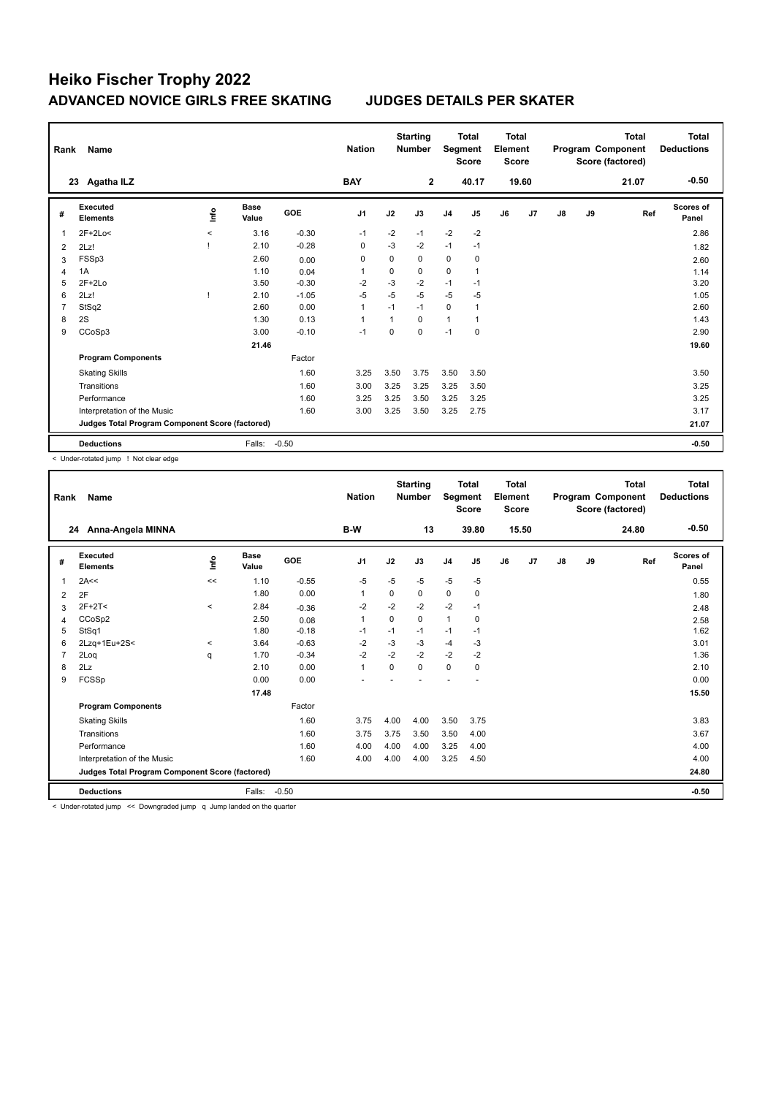| Rank | Name                                            |                     |                      |         | <b>Nation</b>  |      | <b>Starting</b><br><b>Number</b> | Segment        | <b>Total</b><br><b>Score</b> | <b>Total</b><br>Element<br><b>Score</b> |       |               |    | <b>Total</b><br>Program Component<br>Score (factored) | Total<br><b>Deductions</b> |
|------|-------------------------------------------------|---------------------|----------------------|---------|----------------|------|----------------------------------|----------------|------------------------------|-----------------------------------------|-------|---------------|----|-------------------------------------------------------|----------------------------|
|      | Agatha ILZ<br>23                                |                     |                      |         | <b>BAY</b>     |      | $\mathbf{2}$                     |                | 40.17                        |                                         | 19.60 |               |    | 21.07                                                 | $-0.50$                    |
| #    | Executed<br><b>Elements</b>                     | lnfo                | <b>Base</b><br>Value | GOE     | J <sub>1</sub> | J2   | J3                               | J <sub>4</sub> | J <sub>5</sub>               | J6                                      | J7    | $\mathsf{J}8$ | J9 | Ref                                                   | Scores of<br>Panel         |
| 1    | $2F+2Lo<$                                       | $\hat{\phantom{a}}$ | 3.16                 | $-0.30$ | $-1$           | $-2$ | $-1$                             | $-2$           | $-2$                         |                                         |       |               |    |                                                       | 2.86                       |
| 2    | 2Lz!                                            |                     | 2.10                 | $-0.28$ | 0              | $-3$ | $-2$                             | $-1$           | $-1$                         |                                         |       |               |    |                                                       | 1.82                       |
| 3    | FSSp3                                           |                     | 2.60                 | 0.00    | 0              | 0    | 0                                | 0              | 0                            |                                         |       |               |    |                                                       | 2.60                       |
| 4    | 1A                                              |                     | 1.10                 | 0.04    | 1              | 0    | 0                                | 0              | $\overline{1}$               |                                         |       |               |    |                                                       | 1.14                       |
| 5    | $2F+2Lo$                                        |                     | 3.50                 | $-0.30$ | $-2$           | $-3$ | $-2$                             | $-1$           | $-1$                         |                                         |       |               |    |                                                       | 3.20                       |
| 6    | 2Lz!                                            |                     | 2.10                 | $-1.05$ | $-5$           | $-5$ | $-5$                             | $-5$           | -5                           |                                         |       |               |    |                                                       | 1.05                       |
| 7    | StSq2                                           |                     | 2.60                 | 0.00    | 1              | $-1$ | $-1$                             | $\mathbf 0$    | 1                            |                                         |       |               |    |                                                       | 2.60                       |
| 8    | 2S                                              |                     | 1.30                 | 0.13    | 1              | 1    | $\Omega$                         | $\mathbf{1}$   | $\overline{1}$               |                                         |       |               |    |                                                       | 1.43                       |
| 9    | CCoSp3                                          |                     | 3.00                 | $-0.10$ | $-1$           | 0    | $\mathbf 0$                      | $-1$           | 0                            |                                         |       |               |    |                                                       | 2.90                       |
|      |                                                 |                     | 21.46                |         |                |      |                                  |                |                              |                                         |       |               |    |                                                       | 19.60                      |
|      | <b>Program Components</b>                       |                     |                      | Factor  |                |      |                                  |                |                              |                                         |       |               |    |                                                       |                            |
|      | <b>Skating Skills</b>                           |                     |                      | 1.60    | 3.25           | 3.50 | 3.75                             | 3.50           | 3.50                         |                                         |       |               |    |                                                       | 3.50                       |
|      | Transitions                                     |                     |                      | 1.60    | 3.00           | 3.25 | 3.25                             | 3.25           | 3.50                         |                                         |       |               |    |                                                       | 3.25                       |
|      | Performance                                     |                     |                      | 1.60    | 3.25           | 3.25 | 3.50                             | 3.25           | 3.25                         |                                         |       |               |    |                                                       | 3.25                       |
|      | Interpretation of the Music                     |                     |                      | 1.60    | 3.00           | 3.25 | 3.50                             | 3.25           | 2.75                         |                                         |       |               |    |                                                       | 3.17                       |
|      | Judges Total Program Component Score (factored) |                     |                      |         |                |      |                                  |                |                              |                                         |       |               |    |                                                       | 21.07                      |
|      | <b>Deductions</b>                               |                     | Falls:               | $-0.50$ |                |      |                                  |                |                              |                                         |       |               |    |                                                       | $-0.50$                    |

< Under-rotated jump ! Not clear edge

| Rank | Name                                            |         |               |         | <b>Nation</b>  |          | <b>Starting</b><br><b>Number</b> | Segment        | <b>Total</b><br><b>Score</b> | <b>Total</b><br>Element<br><b>Score</b> |       |               |    | <b>Total</b><br>Program Component<br>Score (factored) | <b>Total</b><br><b>Deductions</b> |
|------|-------------------------------------------------|---------|---------------|---------|----------------|----------|----------------------------------|----------------|------------------------------|-----------------------------------------|-------|---------------|----|-------------------------------------------------------|-----------------------------------|
|      | Anna-Angela MINNA<br>24                         |         |               |         | B-W            |          | 13                               |                | 39.80                        |                                         | 15.50 |               |    | 24.80                                                 | $-0.50$                           |
| #    | Executed<br><b>Elements</b>                     | lnfo    | Base<br>Value | GOE     | J <sub>1</sub> | J2       | J3                               | J <sub>4</sub> | J5                           | J6                                      | J7    | $\mathsf{J}8$ | J9 | Ref                                                   | Scores of<br>Panel                |
| 1    | 2A<<                                            | <<      | 1.10          | $-0.55$ | -5             | $-5$     | $-5$                             | $-5$           | $-5$                         |                                         |       |               |    |                                                       | 0.55                              |
| 2    | 2F                                              |         | 1.80          | 0.00    | $\mathbf{1}$   | $\Omega$ | 0                                | $\mathbf 0$    | 0                            |                                         |       |               |    |                                                       | 1.80                              |
| 3    | $2F+2T<$                                        | $\,<\,$ | 2.84          | $-0.36$ | $-2$           | $-2$     | $-2$                             | $-2$           | $-1$                         |                                         |       |               |    |                                                       | 2.48                              |
| 4    | CCoSp2                                          |         | 2.50          | 0.08    | $\mathbf{1}$   | $\Omega$ | $\Omega$                         | $\overline{1}$ | 0                            |                                         |       |               |    |                                                       | 2.58                              |
| 5    | StSq1                                           |         | 1.80          | $-0.18$ | $-1$           | $-1$     | $-1$                             | $-1$           | $-1$                         |                                         |       |               |    |                                                       | 1.62                              |
| 6    | 2Lzq+1Eu+2S<                                    | $\,<\,$ | 3.64          | $-0.63$ | $-2$           | $-3$     | $-3$                             | $-4$           | -3                           |                                         |       |               |    |                                                       | 3.01                              |
|      | 2Loq                                            | q       | 1.70          | $-0.34$ | $-2$           | $-2$     | $-2$                             | $-2$           | $-2$                         |                                         |       |               |    |                                                       | 1.36                              |
| 8    | 2Lz                                             |         | 2.10          | 0.00    | $\mathbf{1}$   | $\Omega$ | $\Omega$                         | $\mathbf 0$    | $\mathbf 0$                  |                                         |       |               |    |                                                       | 2.10                              |
| 9    | FCSSp                                           |         | 0.00          | 0.00    |                |          |                                  |                |                              |                                         |       |               |    |                                                       | 0.00                              |
|      |                                                 |         | 17.48         |         |                |          |                                  |                |                              |                                         |       |               |    |                                                       | 15.50                             |
|      | <b>Program Components</b>                       |         |               | Factor  |                |          |                                  |                |                              |                                         |       |               |    |                                                       |                                   |
|      | <b>Skating Skills</b>                           |         |               | 1.60    | 3.75           | 4.00     | 4.00                             | 3.50           | 3.75                         |                                         |       |               |    |                                                       | 3.83                              |
|      | Transitions                                     |         |               | 1.60    | 3.75           | 3.75     | 3.50                             | 3.50           | 4.00                         |                                         |       |               |    |                                                       | 3.67                              |
|      | Performance                                     |         |               | 1.60    | 4.00           | 4.00     | 4.00                             | 3.25           | 4.00                         |                                         |       |               |    |                                                       | 4.00                              |
|      | Interpretation of the Music                     |         |               | 1.60    | 4.00           | 4.00     | 4.00                             | 3.25           | 4.50                         |                                         |       |               |    |                                                       | 4.00                              |
|      | Judges Total Program Component Score (factored) |         |               |         |                |          |                                  |                |                              |                                         |       |               |    |                                                       | 24.80                             |
|      | <b>Deductions</b>                               |         | Falls:        | $-0.50$ |                |          |                                  |                |                              |                                         |       |               |    |                                                       | $-0.50$                           |

< Under-rotated jump << Downgraded jump q Jump landed on the quarter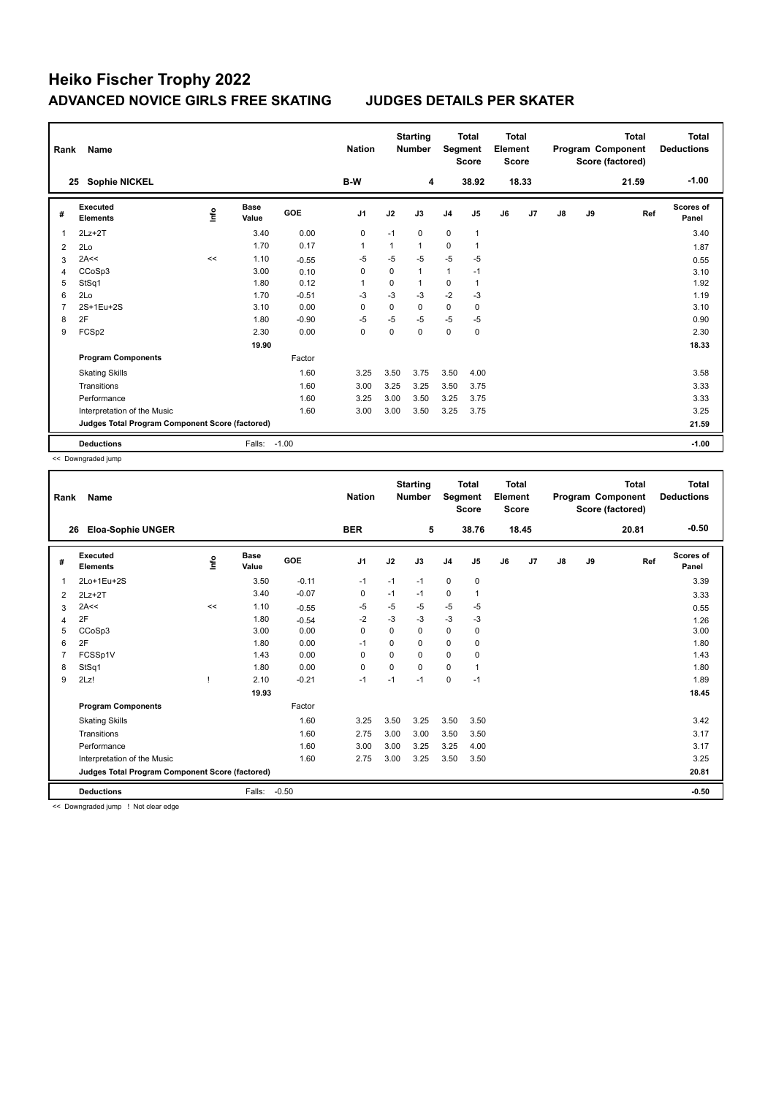| Rank           | Name                                            |      |                      |            | <b>Nation</b>  |              | <b>Starting</b><br><b>Number</b> | Segment        | <b>Total</b><br><b>Score</b> | <b>Total</b><br>Element<br><b>Score</b> |       |    |    | <b>Total</b><br>Program Component<br>Score (factored) | Total<br><b>Deductions</b> |
|----------------|-------------------------------------------------|------|----------------------|------------|----------------|--------------|----------------------------------|----------------|------------------------------|-----------------------------------------|-------|----|----|-------------------------------------------------------|----------------------------|
|                | <b>Sophie NICKEL</b><br>25                      |      |                      |            | B-W            |              | 4                                |                | 38.92                        |                                         | 18.33 |    |    | 21.59                                                 | $-1.00$                    |
| #              | <b>Executed</b><br><b>Elements</b>              | lnfo | <b>Base</b><br>Value | <b>GOE</b> | J <sub>1</sub> | J2           | J3                               | J <sub>4</sub> | J <sub>5</sub>               | J6                                      | J7    | J8 | J9 | Ref                                                   | Scores of<br>Panel         |
| 1              | $2Lz+2T$                                        |      | 3.40                 | 0.00       | $\mathbf 0$    | $-1$         | $\mathbf 0$                      | 0              | $\mathbf{1}$                 |                                         |       |    |    |                                                       | 3.40                       |
| 2              | 2Lo                                             |      | 1.70                 | 0.17       | $\overline{1}$ | $\mathbf{1}$ | $\mathbf{1}$                     | 0              | $\mathbf{1}$                 |                                         |       |    |    |                                                       | 1.87                       |
| 3              | 2A<<                                            | <<   | 1.10                 | $-0.55$    | $-5$           | $-5$         | $-5$                             | $-5$           | -5                           |                                         |       |    |    |                                                       | 0.55                       |
| 4              | CCoSp3                                          |      | 3.00                 | 0.10       | 0              | $\mathbf 0$  | $\mathbf{1}$                     | $\mathbf{1}$   | $-1$                         |                                         |       |    |    |                                                       | 3.10                       |
| 5              | StSq1                                           |      | 1.80                 | 0.12       | -1             | 0            | 1                                | 0              | $\mathbf{1}$                 |                                         |       |    |    |                                                       | 1.92                       |
| 6              | 2Lo                                             |      | 1.70                 | $-0.51$    | $-3$           | $-3$         | $-3$                             | $-2$           | $-3$                         |                                         |       |    |    |                                                       | 1.19                       |
| $\overline{7}$ | 2S+1Eu+2S                                       |      | 3.10                 | 0.00       | $\Omega$       | $\Omega$     | 0                                | 0              | 0                            |                                         |       |    |    |                                                       | 3.10                       |
| 8              | 2F                                              |      | 1.80                 | $-0.90$    | $-5$           | $-5$         | $-5$                             | $-5$           | $-5$                         |                                         |       |    |    |                                                       | 0.90                       |
| 9              | FCSp2                                           |      | 2.30                 | 0.00       | 0              | 0            | $\Omega$                         | 0              | 0                            |                                         |       |    |    |                                                       | 2.30                       |
|                |                                                 |      | 19.90                |            |                |              |                                  |                |                              |                                         |       |    |    |                                                       | 18.33                      |
|                | <b>Program Components</b>                       |      |                      | Factor     |                |              |                                  |                |                              |                                         |       |    |    |                                                       |                            |
|                | <b>Skating Skills</b>                           |      |                      | 1.60       | 3.25           | 3.50         | 3.75                             | 3.50           | 4.00                         |                                         |       |    |    |                                                       | 3.58                       |
|                | Transitions                                     |      |                      | 1.60       | 3.00           | 3.25         | 3.25                             | 3.50           | 3.75                         |                                         |       |    |    |                                                       | 3.33                       |
|                | Performance                                     |      |                      | 1.60       | 3.25           | 3.00         | 3.50                             | 3.25           | 3.75                         |                                         |       |    |    |                                                       | 3.33                       |
|                | Interpretation of the Music                     |      |                      | 1.60       | 3.00           | 3.00         | 3.50                             | 3.25           | 3.75                         |                                         |       |    |    |                                                       | 3.25                       |
|                | Judges Total Program Component Score (factored) |      |                      |            |                |              |                                  |                |                              |                                         |       |    |    |                                                       | 21.59                      |
|                | <b>Deductions</b>                               |      | Falls:               | $-1.00$    |                |              |                                  |                |                              |                                         |       |    |    |                                                       | $-1.00$                    |

<< Downgraded jump

| Rank | Name                                            |      |                      |         | <b>Nation</b>  |          | <b>Starting</b><br><b>Number</b> | Segment        | <b>Total</b><br><b>Score</b> | <b>Total</b><br>Element<br><b>Score</b> |       |    |    | <b>Total</b><br>Program Component<br>Score (factored) | <b>Total</b><br><b>Deductions</b> |
|------|-------------------------------------------------|------|----------------------|---------|----------------|----------|----------------------------------|----------------|------------------------------|-----------------------------------------|-------|----|----|-------------------------------------------------------|-----------------------------------|
|      | <b>Eloa-Sophie UNGER</b><br>26                  |      |                      |         | <b>BER</b>     |          | 5                                |                | 38.76                        |                                         | 18.45 |    |    | 20.81                                                 | $-0.50$                           |
| #    | Executed<br><b>Elements</b>                     | Info | <b>Base</b><br>Value | GOE     | J <sub>1</sub> | J2       | J3                               | J <sub>4</sub> | J <sub>5</sub>               | J6                                      | J7    | J8 | J9 | Ref                                                   | <b>Scores of</b><br>Panel         |
| 1    | 2Lo+1Eu+2S                                      |      | 3.50                 | $-0.11$ | $-1$           | $-1$     | $-1$                             | $\mathbf 0$    | 0                            |                                         |       |    |    |                                                       | 3.39                              |
| 2    | $2Lz+2T$                                        |      | 3.40                 | $-0.07$ | 0              | $-1$     | $-1$                             | 0              |                              |                                         |       |    |    |                                                       | 3.33                              |
| 3    | 2A<<                                            | <<   | 1.10                 | $-0.55$ | $-5$           | $-5$     | -5                               | $-5$           | $-5$                         |                                         |       |    |    |                                                       | 0.55                              |
| 4    | 2F                                              |      | 1.80                 | $-0.54$ | $-2$           | $-3$     | $-3$                             | $-3$           | $-3$                         |                                         |       |    |    |                                                       | 1.26                              |
| 5    | CCoSp3                                          |      | 3.00                 | 0.00    | 0              | 0        | 0                                | 0              | 0                            |                                         |       |    |    |                                                       | 3.00                              |
| 6    | 2F                                              |      | 1.80                 | 0.00    | $-1$           | 0        | $\Omega$                         | $\mathbf 0$    | 0                            |                                         |       |    |    |                                                       | 1.80                              |
|      | FCSSp1V                                         |      | 1.43                 | 0.00    | 0              | $\Omega$ | $\Omega$                         | 0              | 0                            |                                         |       |    |    |                                                       | 1.43                              |
| 8    | StSq1                                           |      | 1.80                 | 0.00    | $\mathbf 0$    | 0        | $\Omega$                         | $\mathbf 0$    |                              |                                         |       |    |    |                                                       | 1.80                              |
| 9    | 2Lz!                                            |      | 2.10                 | $-0.21$ | $-1$           | $-1$     | $-1$                             | 0              | $-1$                         |                                         |       |    |    |                                                       | 1.89                              |
|      |                                                 |      | 19.93                |         |                |          |                                  |                |                              |                                         |       |    |    |                                                       | 18.45                             |
|      | <b>Program Components</b>                       |      |                      | Factor  |                |          |                                  |                |                              |                                         |       |    |    |                                                       |                                   |
|      | <b>Skating Skills</b>                           |      |                      | 1.60    | 3.25           | 3.50     | 3.25                             | 3.50           | 3.50                         |                                         |       |    |    |                                                       | 3.42                              |
|      | Transitions                                     |      |                      | 1.60    | 2.75           | 3.00     | 3.00                             | 3.50           | 3.50                         |                                         |       |    |    |                                                       | 3.17                              |
|      | Performance                                     |      |                      | 1.60    | 3.00           | 3.00     | 3.25                             | 3.25           | 4.00                         |                                         |       |    |    |                                                       | 3.17                              |
|      | Interpretation of the Music                     |      |                      | 1.60    | 2.75           | 3.00     | 3.25                             | 3.50           | 3.50                         |                                         |       |    |    |                                                       | 3.25                              |
|      | Judges Total Program Component Score (factored) |      |                      |         |                |          |                                  |                |                              |                                         |       |    |    |                                                       | 20.81                             |
|      | <b>Deductions</b>                               |      | Falls:               | $-0.50$ |                |          |                                  |                |                              |                                         |       |    |    |                                                       | $-0.50$                           |

<< Downgraded jump ! Not clear edge